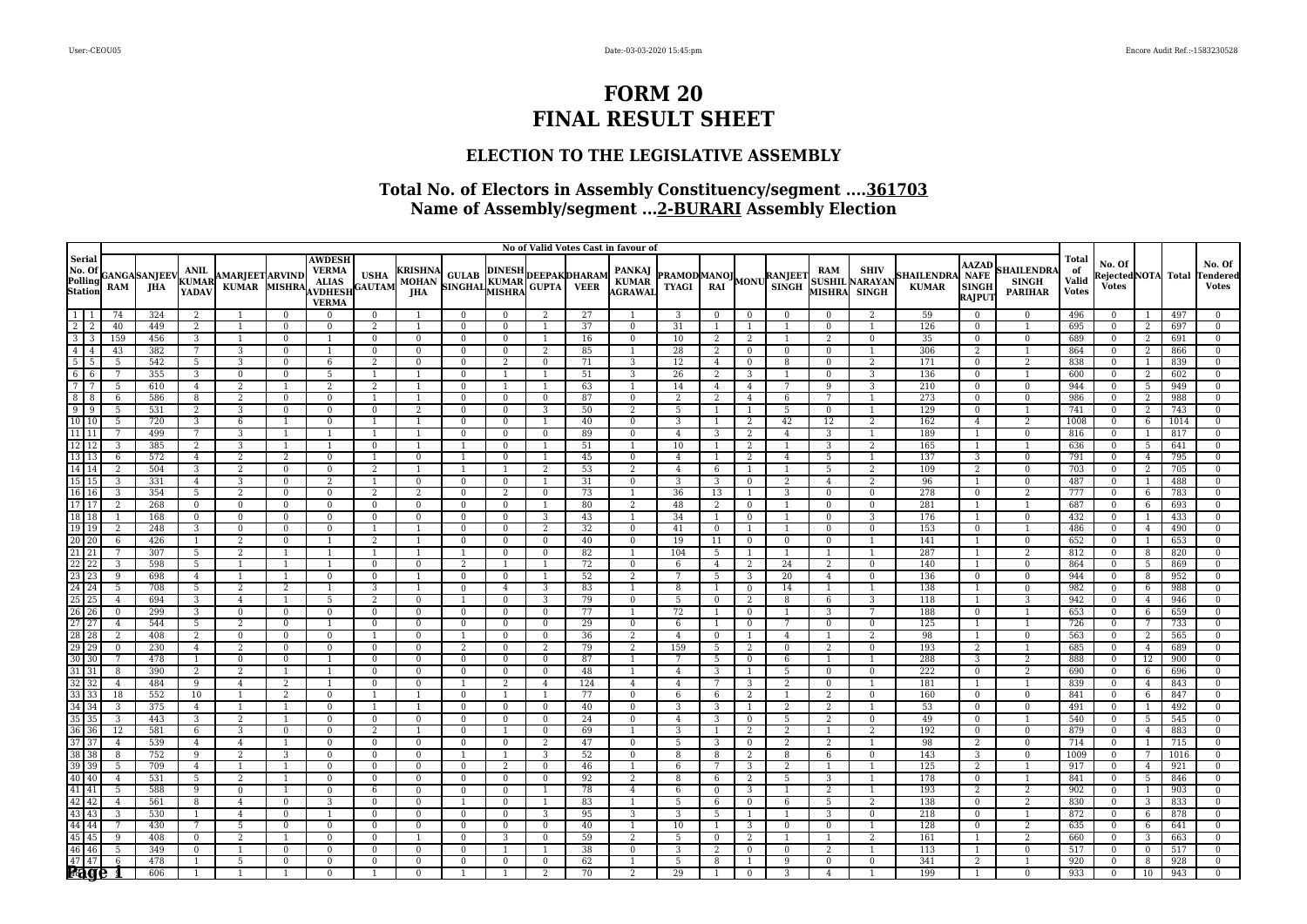### **ELECTION TO THE LEGISLATIVE ASSEMBLY**

|                                                                                                                                                                                                                                                                                                                                       |                     |                      |                                   |                                        |                          |                                                                                 |                          |                                              |                                                          |                                |                |          | No of Valid Votes Cast in favour of |                                            |                     |                   |                      |                                                    |                        |                                   |                                                       |                                                   |                                             |                                              |                 |            |                                   |
|---------------------------------------------------------------------------------------------------------------------------------------------------------------------------------------------------------------------------------------------------------------------------------------------------------------------------------------|---------------------|----------------------|-----------------------------------|----------------------------------------|--------------------------|---------------------------------------------------------------------------------|--------------------------|----------------------------------------------|----------------------------------------------------------|--------------------------------|----------------|----------|-------------------------------------|--------------------------------------------|---------------------|-------------------|----------------------|----------------------------------------------------|------------------------|-----------------------------------|-------------------------------------------------------|---------------------------------------------------|---------------------------------------------|----------------------------------------------|-----------------|------------|-----------------------------------|
| Serial<br>No. Of<br>Polling<br>Station                                                                                                                                                                                                                                                                                                | <b>RAM</b>          | GANGA SANJEEV<br>JHA | ANIL<br>KUMAR<br>YADAV            | <b>AMARJEET ARVIND</b><br><b>KUMAR</b> | <b>MISHRA</b>            | <b>AWDESH</b><br><b>VERMA</b><br><b>ALIAS</b><br><b>AVDHESH</b><br><b>VERMA</b> | USHA<br>GAUTAM           | <b>KRISHNA</b><br><b>MOHAN</b><br><b>JHA</b> | A GULAB DINESH DEEPAK DHARAM<br>SINGHAL KUMAR GUPTA VEER |                                |                |          | PANKAJ<br>  KUMAR<br>AGRAWAI        | <b>PRAMODMANOJ</b><br>TYAGI RAI MONU SINGH |                     |                   |                      | <b>RAM</b><br><b>SUSHIL</b><br><b>MISHRA</b> SINGH | <b>SHIV</b><br>NARAYAN | <b>SHAILENDRA</b><br><b>KUMAR</b> | <b>AAZAD</b><br><b>NAFE</b><br><b>SINGH</b><br>RAJPUT | <b>HAILENDR</b><br><b>SINGH</b><br><b>PARIHAR</b> | <b>Total</b><br>of<br>Valid<br><b>Votes</b> | No. Of<br>RejectedNOTA Total<br><b>Votes</b> |                 |            | No. Of<br>endered<br><b>Votes</b> |
| $\begin{array}{c cccc} 1 & 1 & 1 \\ \hline 2 & 2 & 2 \\ \hline 3 & 3 & 4 \\ \hline 4 & 5 & 5 \\ \hline 6 & 6 & 7 \\ \hline 7 & 8 & 8 \\ \hline 9 & 9 & 10 \\ \hline 10 & 10 & 10 \\ \hline \end{array}$                                                                                                                               | 74                  | 324                  | 2                                 |                                        | $\Omega$                 | $\Omega$                                                                        | $\mathbf{0}$             |                                              | $\Omega$                                                 | 0                              | 2              | 27       |                                     | 3                                          | $\mathbf{0}$        | $\mathbf{0}$      | $\Omega$             | $\mathbf{0}$                                       | 2                      | 59                                | $\mathbf{0}$                                          | $\mathbf{0}$                                      | 496                                         | $\Omega$                                     |                 | 497        | $\Omega$                          |
|                                                                                                                                                                                                                                                                                                                                       | 40                  | 449                  | $\overline{2}$                    |                                        | $\Omega$                 | $\Omega$                                                                        | $\overline{2}$           |                                              | $\Omega$                                                 | $\Omega$                       |                | 37       | $\bf{0}$                            | 31                                         | $\overline{1}$      |                   |                      | $\mathbf{0}$                                       |                        | 126                               | $\mathbf{0}$                                          |                                                   | 695                                         | $\Omega$                                     | 2               | 697        | $\mathbf{0}$                      |
|                                                                                                                                                                                                                                                                                                                                       | 159                 | 456                  | 3                                 | $\mathbf{1}$                           | $\Omega$                 |                                                                                 | $\Omega$                 | $\overline{0}$                               | $\mathbf{0}$                                             | $\Omega$                       | 1              | 16       | $\mathbf{0}$                        | 10                                         | 2                   | 2                 |                      | $\overline{2}$                                     | $\Omega$               | 35                                | $\mathbf{0}$                                          | $\mathbf{0}$                                      | 689                                         | $\Omega$                                     | 2               | 691        | $\Omega$                          |
|                                                                                                                                                                                                                                                                                                                                       | 43                  | 382                  | 7                                 | 3                                      | $\mathbf{0}$             |                                                                                 | $\bf{0}$                 | $\mathbf{0}$                                 | $\Omega$                                                 | $\mathbf{0}$                   | 2              | 85       | $\overline{1}$                      | 28                                         | $\overline{2}$      | $\mathbf{0}$      | $\bf{0}$             | $\mathbf{0}$                                       | $\overline{1}$         | 306                               | 2                                                     | $\overline{1}$                                    | 864                                         | $\mathbf{0}$                                 | 2               | 866        | $\mathbf{0}$                      |
|                                                                                                                                                                                                                                                                                                                                       | 5                   | 542                  | 5                                 | 3                                      | $\mathbf{0}$             | 6                                                                               | 2                        | $\overline{0}$                               | $\bf{0}$                                                 | 2                              | $\mathbf{0}$   | 71       | 3                                   | 12                                         | $\overline{4}$      | $\mathbf{0}$      | 8                    | $\mathbf{0}$                                       | 2                      | 171                               | $\mathbf{0}$                                          | $\overline{2}$                                    | 838                                         | $\mathbf{0}$                                 | 1               | 839        |                                   |
|                                                                                                                                                                                                                                                                                                                                       | $\overline{7}$      | 355                  | $\overline{3}$                    | $\mathbf{0}$                           | $\Omega$                 | 5                                                                               |                          | $\overline{1}$                               | $\Omega$                                                 | $\overline{1}$                 | $\overline{1}$ | 51       | 3                                   | 26                                         | $\overline{2}$      | 3                 | -1                   | $\Omega$                                           | 3                      | 136                               | $\mathbf{0}$                                          | $\overline{1}$                                    | 600                                         | $\Omega$                                     | $\overline{2}$  | 602        | $\Omega$                          |
|                                                                                                                                                                                                                                                                                                                                       | 5                   | 610                  | $\overline{4}$                    | 2                                      |                          | $\overline{2}$                                                                  | $\overline{2}$           |                                              | $\mathbf{0}$                                             |                                | $\overline{1}$ | 63       | $\mathbf{1}$                        | 14                                         | $\overline{4}$      | $\overline{4}$    | 7                    | 9                                                  | 3                      | 210                               | $\mathbf{0}$                                          | $\mathbf{0}$                                      | 944                                         | $\Omega$                                     | 5               | 949        | $\Omega$                          |
|                                                                                                                                                                                                                                                                                                                                       | 6                   | 586                  | 8                                 | 2                                      | $\overline{0}$           | $\Omega$                                                                        |                          | $\overline{1}$                               | $\mathbf{0}$                                             | $\overline{0}$                 | $\bf{0}$       | 87       | $\bf{0}$                            | 2                                          | 2                   | $\overline{4}$    | 6                    | $7\phantom{.0}$                                    | 1                      | 273                               | $\bf{0}$                                              | $\mathbf{0}$                                      | 986                                         | $\bf{0}$                                     | 2               | 988        | $\mathbf{0}$                      |
|                                                                                                                                                                                                                                                                                                                                       | $\overline{5}$      | 531                  | $\overline{2}$                    | 3                                      | $\mathbf{0}$             | $\Omega$                                                                        | $\mathbf{0}$             | 2                                            | $\mathbf{0}$                                             | $\mathbf{0}$                   | 3              | 50       | 2                                   | 5                                          | $\overline{1}$      | $\overline{1}$    | 5                    | $\bf{0}$                                           | $\overline{1}$         | 129                               | $\bf{0}$                                              | $\overline{1}$                                    | 741                                         | $\Omega$                                     | 2               | 743        | $\Omega$                          |
|                                                                                                                                                                                                                                                                                                                                       | 5                   | 720                  | 3                                 | 6                                      |                          | $\Omega$                                                                        |                          |                                              | $\Omega$                                                 | $\Omega$                       |                | 40       | $\Omega$                            | 3                                          | $\overline{1}$      | 2                 | 42                   | 12                                                 | $\overline{2}$         | 162                               | $\overline{4}$                                        | 2                                                 | 1008                                        | $\Omega$                                     | 6               | 1014       | $\Omega$                          |
|                                                                                                                                                                                                                                                                                                                                       | $\overline{7}$      | 499                  | $\overline{7}$                    | 3                                      |                          |                                                                                 |                          |                                              | $\mathbf{0}$                                             | $\Omega$                       | $\overline{0}$ | 89       | $\mathbf{0}$                        | $\overline{4}$                             | 3                   | 2                 | $\overline{4}$       | 3                                                  | $\overline{1}$         | 189                               | $\overline{1}$                                        | $\bf{0}$                                          | 816                                         | $\overline{0}$                               | 1               | 817        | $\Omega$                          |
| $\begin{array}{r} 10 \ \ 10 \\ 11 \ \ 11 \\ 12 \ \ 12 \\ 13 \ \ 13 \\ 14 \ \ 14 \\ \end{array}$                                                                                                                                                                                                                                       | 3                   | 385                  | $\overline{a}$                    | 3                                      |                          |                                                                                 | $\Omega$                 |                                              | $\overline{1}$                                           | $\Omega$                       | $\overline{1}$ | 51       | $\mathbf{1}$                        | 10                                         | -1                  | 2                 |                      | 3                                                  | 2                      | 165                               | -1                                                    | $\overline{1}$                                    | 636                                         | $\Omega$                                     | 5               | 641        | $\Omega$                          |
|                                                                                                                                                                                                                                                                                                                                       | 6                   | 572                  | $\overline{4}$                    | 2                                      | 2                        | $\Omega$                                                                        |                          | $\mathbf{0}$                                 | $\overline{1}$                                           | $\mathbf{0}$                   | -1             | 45       | $\mathbf{0}$                        | $\overline{4}$                             | -1                  | 2                 | $\overline{4}$       | -5                                                 | $\mathbf{1}$           | 137                               | 3                                                     | $\mathbf{0}$                                      | 791                                         | $\mathbf{0}$                                 | 4               | 795        | $\Omega$                          |
|                                                                                                                                                                                                                                                                                                                                       | $\overline{2}$<br>3 | 504                  | 3                                 | 2<br>3                                 | $\Omega$<br>$\Omega$     | $\Omega$<br>$\mathcal{D}$                                                       | 2                        | -1<br>$\Omega$                               | $\overline{1}$<br>$\Omega$                               | -1                             | 2              | 53<br>31 | 2                                   | $\overline{4}$<br>3                        | 6<br>$\overline{3}$ | $\overline{1}$    | -1<br>$\overline{2}$ | 5                                                  | 2<br>$\mathcal{D}$     | 109<br>96                         | 2                                                     | $\mathbf{0}$<br>$\Omega$                          | 703<br>487                                  | $\Omega$                                     | $\overline{2}$  | 705<br>488 | $\Omega$                          |
| $\begin{array}{r} 11 \\ 15 \\ 16 \\ 16 \\ \hline \end{array}$ $\begin{array}{r} 11 \\ 15 \\ 16 \\ 17 \\ 17 \\ \hline \end{array}$                                                                                                                                                                                                     |                     | 331                  | $\overline{4}$<br>$5\overline{)}$ |                                        |                          | $\Omega$                                                                        |                          |                                              | $\mathbf{0}$                                             | $\Omega$                       | -1             | 73       | $\mathbf{0}$                        |                                            |                     | $\mathbf{0}$      |                      | $\overline{4}$                                     | $\mathbf{0}$           | 278                               | $\overline{1}$                                        | 2                                                 |                                             | $\mathbf{0}$                                 | 1               |            | $\mathbf{0}$                      |
|                                                                                                                                                                                                                                                                                                                                       | 3<br>$\overline{2}$ | 354<br>268           | $\mathbf{0}$                      | 2<br>$\mathbf{0}$                      | $\overline{0}$           | $\Omega$                                                                        | 2                        | 2<br>$\Omega$                                | $\mathbf{0}$                                             | $\overline{2}$<br>$\mathbf{0}$ | $\bf{0}$       | 80       | 1<br>2                              | 36                                         | 13<br>2             | 1<br>$\mathbf{0}$ | 3                    | $\bf{0}$<br>$\mathbf{0}$                           | $\mathbf{0}$           | 281                               | $\mathbf{0}$<br>$\overline{1}$                        | $\overline{1}$                                    | 777<br>687                                  | $\bf{0}$<br>$\mathbf{0}$                     | 6               | 783<br>693 | $\mathbf{0}$                      |
| $\boxed{18}$ $\boxed{18}$                                                                                                                                                                                                                                                                                                             |                     | 168                  | $\mathbf{0}$                      | $\mathbf{0}$                           | $\mathbf{0}$<br>$\Omega$ | $\Omega$                                                                        | $\mathbf{0}$<br>$\Omega$ | $\Omega$                                     | $\Omega$                                                 | $\Omega$                       | -1<br>3        | 43       |                                     | 48<br>34                                   | $\overline{1}$      | $\overline{0}$    |                      | $\Omega$                                           | 3                      | 176                               |                                                       | $\mathbf{0}$                                      | 432                                         | $\Omega$                                     | 6               | 433        | $\Omega$                          |
|                                                                                                                                                                                                                                                                                                                                       | 2                   | 248                  | 3                                 | $\Omega$                               | $\mathbf{0}$             | $\Omega$                                                                        |                          |                                              | $\Omega$                                                 | $\mathbf{0}$                   | 2              | 32       | $\mathbf{0}$                        | 41                                         | $\overline{0}$      | $\overline{1}$    |                      | $\Omega$                                           | $\Omega$               | 153                               | $\mathbf{0}$                                          |                                                   | 486                                         | $\Omega$                                     | $\overline{4}$  | 490        | $\Omega$                          |
|                                                                                                                                                                                                                                                                                                                                       | 6                   | 426                  | 1                                 | 2                                      | $\mathbf{0}$             | $\overline{1}$                                                                  | 2                        | $\overline{1}$                               | $\mathbf{0}$                                             | $\overline{0}$                 | $\bf{0}$       | 40       | $\bf{0}$                            | 19                                         | 11                  | $\bf{0}$          | $\bf{0}$             | $\bf{0}$                                           | 1                      | 141                               | 1                                                     | $\bf{0}$                                          | 652                                         | $\overline{0}$                               | 1               | 653        | $\mathbf{0}$                      |
|                                                                                                                                                                                                                                                                                                                                       |                     | 307                  | $5\overline{)}$                   | 2                                      | -1                       | $\overline{1}$                                                                  |                          | -1                                           | $\overline{1}$                                           | $\mathbf{0}$                   | $\mathbf{0}$   | 82       | 1                                   | 104                                        | 5                   | -1                | 1                    | $\mathbf{1}$                                       | -1                     | 287                               | 1                                                     | 2                                                 | 812                                         | $\mathbf{0}$                                 | 8               | 820        | $\mathbf{0}$                      |
|                                                                                                                                                                                                                                                                                                                                       | 3                   | 598                  | 5                                 | $\mathbf{1}$                           | -1                       |                                                                                 | $\mathbf{0}$             | $\mathbf{0}$                                 | 2                                                        | 1                              | $\overline{1}$ | 72       | $\overline{0}$                      | 6                                          | $\overline{4}$      | 2                 | 24                   | 2                                                  | $\mathbf{0}$           | 140                               | $\overline{1}$                                        | $\mathbf{0}$                                      | 864                                         | $\Omega$                                     | 5               | 869        | $\Omega$                          |
|                                                                                                                                                                                                                                                                                                                                       | 9                   | 698                  | 4                                 | $\mathbf{1}$                           | 1                        | $\Omega$                                                                        | $\Omega$                 | $\overline{1}$                               | $\mathbf{0}$                                             | $\mathbf{0}$                   | 1              | 52       | $\overline{2}$                      | 7                                          | $\overline{5}$      | 3                 | 20                   | $\overline{4}$                                     | $\Omega$               | 136                               | $\mathbf{0}$                                          | $\mathbf{0}$                                      | 944                                         | $\mathbf{0}$                                 | 8               | 952        | $\Omega$                          |
|                                                                                                                                                                                                                                                                                                                                       | 5                   | 708                  | $5\overline{)}$                   | 2                                      | 2                        |                                                                                 | 3                        | 1                                            | $\mathbf{0}$                                             | $\overline{4}$                 | 3              | 83       | 1                                   | 8                                          | -1                  | $\overline{0}$    | 14                   | 1                                                  | 1                      | 138                               | 1                                                     | $\overline{0}$                                    | 982                                         | $\mathbf{0}$                                 | 6               | 988        | $\mathbf{0}$                      |
|                                                                                                                                                                                                                                                                                                                                       | $\overline{4}$      | 694                  | 3                                 | 4                                      | -1                       | 5                                                                               | 2                        | $\overline{0}$                               | $\overline{1}$                                           | $\mathbf{0}$                   | 3              | 79       | $\bf{0}$                            | 5                                          | $\overline{0}$      | 2                 | 8                    | -6                                                 | 3                      | 118                               | 1                                                     | 3                                                 | 942                                         | $\mathbf{0}$                                 | $4\overline{ }$ | 946        | $\mathbf{0}$                      |
|                                                                                                                                                                                                                                                                                                                                       | $\Omega$            | 299                  | 3                                 | $\mathbf{0}$                           | $\overline{0}$           | $\Omega$                                                                        | $\Omega$                 | $\mathbf{0}$                                 | $\mathbf{0}$                                             | $\overline{0}$                 | $\Omega$       | 77       | 1                                   | 72                                         | $\overline{1}$      | $\mathbf{0}$      | 1                    | 3                                                  |                        | 188                               | $\mathbf{0}$                                          |                                                   | 653                                         | $\Omega$                                     | 6               | 659        |                                   |
|                                                                                                                                                                                                                                                                                                                                       | $\overline{4}$      | 544                  | 5                                 | 2                                      | $\mathbf{0}$             |                                                                                 | $\Omega$                 | $\bf{0}$                                     | $\mathbf{0}$                                             | $\mathbf{0}$                   | $\Omega$       | 29       | $\overline{0}$                      | 6                                          | -1                  | $\mathbf{0}$      | 7                    | $\mathbf{0}$                                       | $\mathbf{0}$           | 125                               | $\overline{1}$                                        | $\overline{1}$                                    | 726                                         | $\Omega$                                     | 7               | 733        | $\Omega$                          |
|                                                                                                                                                                                                                                                                                                                                       | 2                   | 408                  | $\overline{2}$                    | $\mathbf{0}$                           | $\Omega$                 | $\Omega$                                                                        |                          | $\overline{0}$                               | $\overline{1}$                                           | $\mathbf{0}$                   | $\mathbf{0}$   | 36       | 2                                   | $\overline{4}$                             | $\bf{0}$            | $\overline{1}$    | $\overline{4}$       | $\overline{1}$                                     | 2                      | 98                                | 1                                                     | $\mathbf{0}$                                      | 563                                         | $\mathbf{0}$                                 | 2               | 565        | $\Omega$                          |
|                                                                                                                                                                                                                                                                                                                                       | $\Omega$            | 230                  | $\overline{4}$                    | $\overline{2}$                         | $\overline{0}$           | $\Omega$                                                                        | $\mathbf{0}$             | $\mathbf{0}$                                 | 2                                                        | $\mathbf{0}$                   | 2              | 79       | $\overline{2}$                      | 159                                        | 5                   | 2                 | $\overline{0}$       | 2                                                  | $\Omega$               | 193                               | $\overline{2}$                                        | $\overline{1}$                                    | 685                                         | $\Omega$                                     | 4               | 689        | $\Omega$                          |
|                                                                                                                                                                                                                                                                                                                                       |                     | 478                  | 1                                 | $\bf{0}$                               | $\mathbf{0}$             |                                                                                 | $\overline{0}$           | $\overline{0}$                               | $\mathbf{0}$                                             | $\mathbf{0}$                   | $\mathbf{0}$   | 87       |                                     |                                            | -5                  | $\bf{0}$          | 6                    |                                                    |                        | 288                               | 3                                                     | 2                                                 | 888                                         | $\mathbf{0}$                                 | 12              | 900        | $\Omega$                          |
|                                                                                                                                                                                                                                                                                                                                       | 8                   | 390                  | $\overline{2}$                    | $\overline{2}$                         |                          |                                                                                 | $\Omega$                 | $\Omega$                                     | $\Omega$                                                 | $\Omega$                       | $\Omega$       | 48       |                                     | $\overline{4}$                             | 3                   | $\overline{1}$    | 5                    | $\mathbf{0}$                                       | $\Omega$               | 222                               | $\mathbf{0}$                                          | 2                                                 | 690                                         | $\Omega$                                     | 6               | 696        |                                   |
|                                                                                                                                                                                                                                                                                                                                       | $\overline{4}$      | 484                  | 9                                 | $\overline{4}$                         | 2                        |                                                                                 | $\Omega$                 | $\overline{0}$                               | $\overline{1}$                                           | 2                              | $\overline{4}$ | 124      | $\overline{4}$                      | $\overline{4}$                             | 7                   | 3                 | 2                    | $\mathbf{0}$                                       | $\overline{1}$         | 181                               | $\mathbf{1}$                                          | $\overline{1}$                                    | 839                                         | $\Omega$                                     | $\overline{4}$  | 843        | $\Omega$                          |
| $\frac{19}{201} \frac{201}{222} \frac{23}{23} \frac{245}{245} \frac{25}{25} \frac{27}{252} \frac{233}{252} \frac{245}{252} \frac{252}{252} \frac{233}{252} \frac{233}{252} \frac{233}{252} \frac{233}{252} \frac{233}{252} \frac{233}{252} \frac{233}{252} \frac{233}{252} \frac{233}{252} \frac{233}{252} \frac{233}{252} \frac{233$ | 18                  | 552                  | 10                                | $\mathbf{1}$                           | 2                        | $\Omega$                                                                        |                          | $\overline{1}$                               | $\mathbf{0}$                                             | $\overline{1}$                 | $\overline{1}$ | 77       | $\bf{0}$                            | 6                                          | 6                   | 2                 |                      | 2                                                  | $\mathbf{0}$           | 160                               | $\mathbf{0}$                                          | $\bf{0}$                                          | 841                                         | $\bf{0}$                                     | 6               | 847        | $\mathbf{0}$                      |
|                                                                                                                                                                                                                                                                                                                                       | 3                   | 375                  | $\overline{4}$                    | $\mathbf{1}$                           |                          | $\Omega$                                                                        |                          |                                              | $\mathbf{0}$                                             | $\overline{0}$                 | $\Omega$       | 40       | $\bf{0}$                            | 3                                          | 3                   | $\overline{1}$    | 2                    | 2                                                  |                        | 53                                | $\bf{0}$                                              | $\bf{0}$                                          | 491                                         | $\Omega$                                     | 1               | 492        |                                   |
|                                                                                                                                                                                                                                                                                                                                       | 3                   | 443                  | 3                                 | 2                                      |                          | $\Omega$                                                                        | $\Omega$                 | $\overline{0}$                               | $\mathbf{0}$                                             | $\mathbf{0}$                   | $\Omega$       | 24       | $\overline{0}$                      | $\overline{4}$                             | 3                   | $\mathbf{0}$      | 5                    | 2                                                  | $\Omega$               | 49                                | $\mathbf{0}$                                          |                                                   | 540                                         | $\Omega$                                     | 5               | 545        | $\Omega$                          |
|                                                                                                                                                                                                                                                                                                                                       | 12                  | 581                  | 6                                 | 3                                      | $\Omega$                 | $\Omega$                                                                        | $\overline{2}$           |                                              | $\mathbf{0}$                                             |                                | $\Omega$       | 69       | $\mathbf{1}$                        | 3                                          | $\mathbf{1}$        | 2                 | 2                    | $\overline{1}$                                     | $\overline{2}$         | 192                               | $\bf{0}$                                              | $\bf{0}$                                          | 879                                         | $\mathbf{0}$                                 | $\overline{4}$  | 883        | $\Omega$                          |
|                                                                                                                                                                                                                                                                                                                                       | $\overline{4}$      | 539                  | $\overline{4}$                    | $\overline{4}$                         | $\overline{1}$           | $\Omega$                                                                        | $\mathbf{0}$             | $\mathbf{0}$                                 | $\mathbf{0}$                                             | $\overline{0}$                 | 2              | 47       | $\bf{0}$                            | 5                                          | 3                   | $\mathbf{0}$      | 2                    | 2                                                  | $\overline{1}$         | 98                                | 2                                                     | $\mathbf{0}$                                      | 714                                         | $\Omega$                                     |                 | 715        | $\mathbf{0}$                      |
|                                                                                                                                                                                                                                                                                                                                       | 8                   | 752                  | 9                                 | 2                                      | 3                        | $\Omega$                                                                        | $\Omega$                 | $\overline{0}$                               | $\overline{1}$                                           | $\overline{1}$                 | 3              | 52       | $\mathbf{0}$                        | 8                                          | 8                   | 2                 | 8                    | 6                                                  | $\Omega$               | 143                               | 3                                                     | $\mathbf{0}$                                      | 1009                                        | $\mathbf{0}$                                 | 7               | 1016       | $\mathbf{0}$                      |
|                                                                                                                                                                                                                                                                                                                                       | $\overline{5}$      | 709                  | $\overline{4}$                    |                                        |                          | $\Omega$                                                                        | $\Omega$                 | $\mathbf{0}$                                 | $\Omega$                                                 | $\overline{2}$                 | $\Omega$       | 46       |                                     | 6                                          | 7                   | 3                 | 2                    |                                                    |                        | 125                               | 2                                                     |                                                   | 917                                         | $\Omega$                                     | 4               | 921        | $\Omega$                          |
|                                                                                                                                                                                                                                                                                                                                       | $\overline{4}$      | 531                  | 5                                 | $\overline{2}$                         | $\overline{1}$           | $\Omega$                                                                        | $\Omega$                 | $\overline{0}$                               | $\Omega$                                                 | $\overline{0}$                 | $\Omega$       | 92       | 2                                   | 8                                          | 6                   | 2                 | 5                    | 3                                                  | $\overline{1}$         | 178                               | $\mathbf{0}$                                          | <sup>1</sup>                                      | 841                                         | $\mathbf{0}$                                 | 5               | 846        | $\Omega$                          |
|                                                                                                                                                                                                                                                                                                                                       | $5\overline{}$      | 588                  | 9                                 | $\bf{0}$                               | -1                       | $\bf{0}$                                                                        | 6                        | $\overline{0}$                               | $\mathbf{0}$                                             | $\overline{0}$                 | 1              | 78       | $\overline{4}$                      | 6                                          | $\bf{0}$            | 3                 | -1                   | 2                                                  | -1                     | 193                               | $\overline{2}$                                        | $\overline{2}$                                    | 902                                         | $\overline{0}$                               | -1              | 903        | $\bf{0}$                          |
|                                                                                                                                                                                                                                                                                                                                       | $\overline{4}$      | 561                  | 8                                 | $\overline{4}$                         | $\overline{0}$           | 3                                                                               | $\Omega$                 | $\mathbf{0}$                                 | $\overline{1}$                                           | $\mathbf{0}$                   | $\overline{1}$ | 83       | 1                                   | 5                                          | 6                   | $\mathbf{0}$      | 6                    | .5                                                 | 2                      | 138                               | $\bf{0}$                                              | 2                                                 | 830                                         | $\Omega$                                     | 3               | 833        | $\Omega$                          |
|                                                                                                                                                                                                                                                                                                                                       | 3                   | 530                  | $\mathbf{1}$                      | $\overline{4}$                         | $\Omega$                 |                                                                                 | $\mathbf{0}$             | $\mathbf{0}$                                 | $\Omega$                                                 | $\Omega$                       | 3              | 95       | 3                                   | 3                                          | 5                   | $\overline{1}$    |                      | 3                                                  | $\Omega$               | 218                               | $\mathbf{0}$                                          |                                                   | 872                                         | $\Omega$                                     | 6               | 878        | $\Omega$                          |
|                                                                                                                                                                                                                                                                                                                                       |                     | 430                  | 7                                 | 5                                      | $\Omega$                 | $\Omega$                                                                        | $\Omega$                 | $\overline{0}$                               | $\mathbf{0}$                                             | $\Omega$                       | $\Omega$       | 40       |                                     | 10                                         | 1                   | 3                 | $\mathbf{0}$         | $\Omega$                                           |                        | 128                               | $\bf{0}$                                              | 2                                                 | 635                                         | $\Omega$                                     | 6               | 641        | $\Omega$                          |
|                                                                                                                                                                                                                                                                                                                                       | 9                   | 408                  | $\mathbf{0}$                      | 2                                      | $\mathbf{1}$             | $\Omega$                                                                        | $\Omega$                 | $\overline{1}$                               | $\mathbf{0}$                                             | 3                              | $\mathbf{0}$   | 59       | 2                                   | 5                                          | $\bf{0}$            | 2                 | $\overline{1}$       | $\overline{1}$                                     | 2                      | 161                               | 1                                                     | $\overline{2}$                                    | 660                                         | $\Omega$                                     | 3               | 663        | $\mathbf{0}$                      |
|                                                                                                                                                                                                                                                                                                                                       | 5                   | 349                  | $\bf{0}$                          | $\mathbf{1}$                           | $\overline{0}$           | $\Omega$                                                                        | $\Omega$                 | $\overline{0}$                               | $\mathbf{0}$                                             | -1                             | $\overline{1}$ | 38       | $\bf{0}$                            | 3                                          | 2                   | $\bf{0}$          | $\mathbf{0}$         | 2                                                  |                        | 113                               | -1                                                    | $\bf{0}$                                          | 517                                         | $\Omega$                                     | $\mathbf{0}$    | 517        | $\mathbf{0}$                      |
| 47 47                                                                                                                                                                                                                                                                                                                                 | 6                   | 478                  | 1                                 | 5                                      | $\Omega$                 | $\Omega$                                                                        | $\Omega$                 | $\Omega$                                     | $\mathbf{0}$                                             | $\mathbf{0}$                   | $\Omega$       | 62       |                                     | 5                                          | 8                   |                   | 9                    | $\Omega$                                           | $\Omega$               | 341                               | 2                                                     |                                                   | 920                                         | $\Omega$                                     | 8               | 928        | $\Omega$                          |
| Page                                                                                                                                                                                                                                                                                                                                  |                     | 606                  | $\mathbf{1}$                      |                                        | 1                        | $\Omega$                                                                        |                          | $\mathbf{0}$                                 | $\mathbf{1}$                                             | 1                              | $\overline{2}$ | 70       | $\overline{2}$                      | 29                                         | 1                   | $\mathbf{0}$      | 3                    | $\overline{4}$                                     |                        | 199                               | -1                                                    | $\mathbf{0}$                                      | 933                                         | $\Omega$                                     | 10              | 943        |                                   |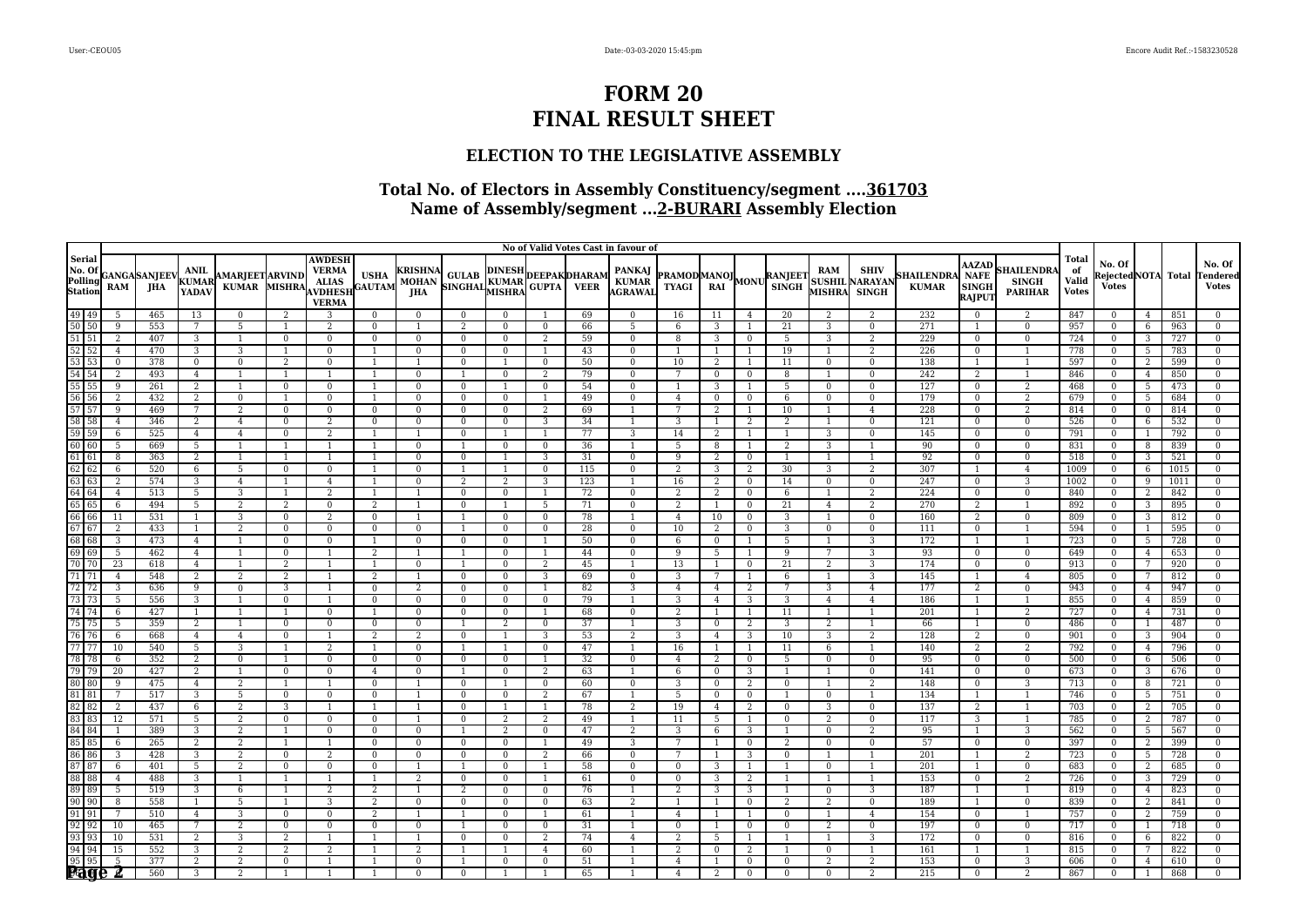### **ELECTION TO THE LEGISLATIVE ASSEMBLY**

|                                                                                                                                                                                                                                                                                                                                                                                                                |                     |                                                              |                               |                                        |                |                                                                                |                |                                                                                     |                                  |                |                   |           | No of Valid Votes Cast in favour of |                                                          |                     |                            |                |                      |                                                      |                                  |                                                              |                                                    |                                             |                                              |                |            |                                           |
|----------------------------------------------------------------------------------------------------------------------------------------------------------------------------------------------------------------------------------------------------------------------------------------------------------------------------------------------------------------------------------------------------------------|---------------------|--------------------------------------------------------------|-------------------------------|----------------------------------------|----------------|--------------------------------------------------------------------------------|----------------|-------------------------------------------------------------------------------------|----------------------------------|----------------|-------------------|-----------|-------------------------------------|----------------------------------------------------------|---------------------|----------------------------|----------------|----------------------|------------------------------------------------------|----------------------------------|--------------------------------------------------------------|----------------------------------------------------|---------------------------------------------|----------------------------------------------|----------------|------------|-------------------------------------------|
|                                                                                                                                                                                                                                                                                                                                                                                                                |                     | Serial<br>No. Of<br>Polling GANGA SANJEEV<br>Station RAM JHA | <b>ANIL</b><br>KUMAR<br>YADAV | <b>AMARJEET ARVIND</b><br><b>KUMAR</b> | MISHRA         | <b>AWDESH</b><br><b>VERMA</b><br>$\bf ALIAS$<br><b>AVDHESH</b><br><b>VERMA</b> |                | USHA KRISHNA GULAB DINESH DEEPAK DHARAM MOHAN MOHAN SINGHAL KUMAR DEEPAK DHARAM JHA |                                  |                |                   |           | PANKAJ<br>KUMAR<br>AGRAWAL          | <b>PRAMOD MANOJ MONU RANJEET</b><br>TYAGI RAI MONU SINGH |                     |                            |                | RAM                  | <b>SHIV</b><br><b>SUSHIL NARAYAN</b><br>MISHRA SINGH | <b>HAILENDRA</b><br><b>KUMAR</b> | <b>AAZAD</b><br><b>NAFE</b><br><b>SINGH</b><br><b>RAJPUT</b> | <b>SHAILENDR</b><br><b>SINGH</b><br><b>PARIHAR</b> | <b>Total</b><br>of<br>Valid<br><b>Votes</b> | No. Of<br>RejectedNOTA Total<br><b>Votes</b> |                |            | No. Of<br><b>Fendered</b><br><b>Votes</b> |
| $\begin{array}{ c c }\n\hline\n49 & 49 \\ \hline\n50 & 50 \\ \hline\n\end{array}$                                                                                                                                                                                                                                                                                                                              | 5                   | 465                                                          | 13                            | $\mathbf{0}$                           | $\overline{2}$ | 3                                                                              | $\mathbf{0}$   | $\Omega$                                                                            | $\mathbf{0}$                     | $\Omega$       |                   | 69        | $\mathbf{0}$                        | 16                                                       | 11                  | $\overline{4}$             | 20             | 2                    | 2                                                    | 232                              | $\mathbf{0}$                                                 | $\overline{2}$                                     | 847                                         | $\Omega$                                     | $\overline{4}$ | 851        | $\Omega$                                  |
|                                                                                                                                                                                                                                                                                                                                                                                                                | 9                   | 553                                                          | 7                             | 5                                      |                | $\overline{2}$                                                                 | $\Omega$       | $\overline{1}$                                                                      | 2                                | $\mathbf{0}$   | $\Omega$          | 66        | 5                                   | 6                                                        | 3                   |                            | 21             | 3                    | $\overline{0}$                                       | 271                              |                                                              | $\mathbf{0}$                                       | 957                                         | $\Omega$                                     | 6              | 963        | $\Omega$                                  |
| $\frac{51}{52}$ $\frac{51}{52}$                                                                                                                                                                                                                                                                                                                                                                                | $\overline{2}$      | 407                                                          | 3                             | $\mathbf{1}$                           | $\mathbf{0}$   | $\Omega$                                                                       | $\Omega$       | $\overline{0}$                                                                      | $\mathbf{0}$                     | $\bf{0}$       | 2                 | 59        | $\mathbf{0}$                        | 8                                                        | 3                   | $\mathbf{0}$               | 5              | 3                    | 2                                                    | 229                              | $\mathbf{0}$                                                 | $\bf{0}$                                           | 724                                         | $\Omega$                                     | 3              | 727        | $\Omega$                                  |
|                                                                                                                                                                                                                                                                                                                                                                                                                | $\overline{4}$      | 470                                                          | 3                             | 3                                      |                | $\mathbf{0}$                                                                   | -1             | $\bf{0}$                                                                            | $\mathbf{0}$                     | $\bf{0}$       | 1                 | 43        | $\overline{0}$                      |                                                          | $\overline{1}$      | $\overline{1}$             | 19             | -1                   | 2                                                    | 226                              | $\mathbf{0}$                                                 | $\overline{1}$                                     | 778                                         | $\overline{0}$                               | 5              | 783        | $\bf{0}$                                  |
|                                                                                                                                                                                                                                                                                                                                                                                                                | $\mathbf{0}$        | 378                                                          | $\overline{0}$                | $\bf{0}$                               | 2              | $\mathbf{0}$                                                                   |                |                                                                                     | $\bf{0}$                         |                | $\mathbf{0}$      | 50        | $\mathbf{0}$                        | 10                                                       | 2                   |                            | 11             | $\bf{0}$             | $\mathbf{0}$                                         | 138                              |                                                              | 1                                                  | 597                                         | $\Omega$                                     | 2              | 599        | $\Omega$                                  |
|                                                                                                                                                                                                                                                                                                                                                                                                                | $\overline{2}$      | 493                                                          | $\overline{4}$                | $\overline{1}$                         |                |                                                                                | - 1            | $\Omega$                                                                            | $\mathbf{1}$                     | $\mathbf{0}$   | 2                 | 79        | $\mathbf{0}$                        | 7                                                        | $\mathbf{0}$        | $\mathbf{0}$               | 8              | $\overline{1}$       | $\Omega$                                             | 242                              | 2                                                            | $\overline{1}$                                     | 846                                         | $\Omega$                                     | $\overline{4}$ | 850        | $\Omega$                                  |
|                                                                                                                                                                                                                                                                                                                                                                                                                | $\overline{9}$      | 261                                                          | $\overline{2}$                | $\mathbf{1}$                           | $\mathbf{0}$   | $\Omega$                                                                       | $\overline{1}$ | $\Omega$                                                                            | $\mathbf{0}$                     |                | $\Omega$          | 54        | $\mathbf{0}$                        |                                                          | $\overline{3}$      | $\overline{1}$             | 5              | $\mathbf{0}$         | $\mathbf{0}$                                         | 127                              | $\mathbf{0}$                                                 | $\overline{2}$                                     | 468                                         | $\Omega$                                     | 5              | 473        | $\Omega$                                  |
|                                                                                                                                                                                                                                                                                                                                                                                                                | $\overline{2}$      | 432                                                          | $\overline{2}$                | $\mathbf 0$                            |                | $\Omega$                                                                       | $\overline{1}$ | $\bf{0}$                                                                            | $\overline{0}$                   | $\mathbf{0}$   | 1                 | 49        | $\mathbf{0}$                        | $\overline{4}$                                           | $\bf{0}$            | $\overline{0}$             | 6              | $\bf{0}$             | $\bf{0}$                                             | 179                              | $\bf{0}$                                                     | $\overline{2}$                                     | 679                                         | $\overline{0}$                               | 5              | 684        | $\bf{0}$                                  |
|                                                                                                                                                                                                                                                                                                                                                                                                                | $\overline{9}$      | 469                                                          | 7                             | 2                                      | $\mathbf{0}$   | $\Omega$                                                                       | $\mathbf{0}$   | $\Omega$                                                                            | $\mathbf{0}$                     | $\mathbf{0}$   | 2                 | 69        | -1                                  | 7                                                        | 2                   | $\overline{1}$             | 10             | -1                   | $\overline{4}$                                       | 228                              | $\mathbf{0}$                                                 | 2                                                  | 814                                         | $\Omega$                                     | $\mathbf{0}$   | 814        | $\mathbf{0}$                              |
| $\begin{array}{r} 53 \\ 53 \\ 54 \\ 55 \\ 55 \\ 56 \\ 57 \\ 58 \\ 59 \\ 59 \\ 59 \\ 60 \\ 60 \\ \end{array}$                                                                                                                                                                                                                                                                                                   | $\overline{4}$      | 346                                                          | $\overline{2}$                | $\overline{4}$                         | $\Omega$       | $\overline{2}$                                                                 | $\Omega$       | $\Omega$                                                                            | $\Omega$                         | $\Omega$       | 3                 | 34        |                                     | 3                                                        | $\overline{1}$      | 2                          | $\overline{2}$ | $\overline{1}$       | $\Omega$                                             | 121                              | $\Omega$                                                     | $\Omega$                                           | 526                                         | $\Omega$                                     | 6              | 532        | $\Omega$                                  |
|                                                                                                                                                                                                                                                                                                                                                                                                                | 6                   | 525                                                          | $\overline{4}$                | $\overline{4}$                         | $\mathbf{0}$   | $\overline{2}$                                                                 |                |                                                                                     | $\mathbf{0}$                     |                |                   | 77        | 3                                   | 14                                                       | 2                   | $\overline{1}$             |                | 3                    | $\mathbf{0}$                                         | 145                              | $\bf{0}$                                                     | $\bf{0}$                                           | 791                                         | $\Omega$                                     |                | 792        | $\Omega$                                  |
|                                                                                                                                                                                                                                                                                                                                                                                                                | 5                   | 669                                                          | 5                             | $\overline{1}$                         |                |                                                                                | -1             | $\mathbf{0}$                                                                        | $\overline{1}$                   | $\bf{0}$       | $\mathbf{0}$      | 36        | $\mathbf{1}$                        | 5                                                        | 8                   | $\overline{1}$             | 2              | 3                    | $\overline{1}$                                       | 90                               | $\mathbf{0}$                                                 | $\mathbf{0}$                                       | 831                                         | $\Omega$                                     | 8              | 839        | $\bf{0}$                                  |
|                                                                                                                                                                                                                                                                                                                                                                                                                | 8                   | 363                                                          | 2                             | $\mathbf{1}$                           |                |                                                                                |                | $\Omega$                                                                            | $\mathbf{0}$                     |                | 3                 | 31        | $\overline{0}$                      | 9                                                        | 2                   | $\overline{0}$             |                | -1                   | $\overline{1}$                                       | 92                               | $\mathbf{0}$                                                 | $\mathbf{0}$                                       | 518                                         | $\Omega$                                     | 3              | 521        | $\Omega$                                  |
|                                                                                                                                                                                                                                                                                                                                                                                                                | 6<br>$\overline{2}$ | 520<br>574                                                   | 6<br>$\overline{3}$           | 5                                      | $\Omega$       | $\Omega$                                                                       |                | $\Omega$                                                                            | $\mathbf{1}$<br>$\overline{2}$   | -1             | $\mathbf{0}$<br>3 | 115       | $\overline{0}$                      | 2<br>16                                                  | 3<br>$\overline{2}$ | 2                          | 30             | 3                    | 2                                                    | 307<br>247                       | -1.                                                          | $\overline{4}$<br>3                                | 1009<br>1002                                | $\Omega$<br>$\Omega$                         | 6<br>9         | 1015       | $\Omega$<br>$\Omega$                      |
|                                                                                                                                                                                                                                                                                                                                                                                                                |                     |                                                              |                               | $\overline{4}$                         | $\overline{1}$ | $\overline{4}$<br>2                                                            | $\overline{1}$ | $\Omega$                                                                            |                                  | 2              |                   | 123<br>72 | -1                                  |                                                          |                     | $\overline{0}$             | 14             | $\mathbf{0}$         | $\mathbf{0}$                                         | 224                              | $\mathbf{0}$                                                 |                                                    |                                             | $\overline{0}$                               |                | 1011       |                                           |
|                                                                                                                                                                                                                                                                                                                                                                                                                | $\overline{4}$<br>6 | 513<br>494                                                   | 5<br>5                        | 3<br>2                                 | 2              | $\mathbf{0}$                                                                   | $\overline{2}$ | 1<br>$\overline{1}$                                                                 | $\overline{0}$<br>$\overline{0}$ | $\bf{0}$       | 1<br>5            | 71        | $\mathbf{0}$<br>$\mathbf{0}$        | 2<br>$\overline{2}$                                      | 2                   | $\bf{0}$<br>$\overline{0}$ | 6<br>21        | -1<br>$\overline{4}$ | 2<br>2                                               | 270                              | $\bf{0}$<br>2                                                | $\overline{0}$<br>$\overline{1}$                   | 840<br>892                                  | $\Omega$                                     | 2              | 842        | $\bf{0}$<br>$\bf{0}$                      |
|                                                                                                                                                                                                                                                                                                                                                                                                                | 11                  | 531                                                          |                               | 3                                      | $\Omega$       | 2                                                                              | $\Omega$       |                                                                                     |                                  | $\mathbf{0}$   | $\Omega$          | 78        |                                     | 4                                                        | -1<br>10            | $\Omega$                   | 3              |                      | $\overline{0}$                                       | 160                              | $\overline{2}$                                               | $\mathbf{0}$                                       | 809                                         | $\Omega$                                     | 3<br>3         | 895<br>812 | $\Omega$                                  |
| $\begin{array}{r} 61 \\ 62 \\ 62 \\ 63 \\ 64 \\ 64 \\ 65 \\ 66 \\ 67 \\ 67 \\ 68 \\ 69 \\ 69 \\ 70 \\ 70 \\ \end{array}$                                                                                                                                                                                                                                                                                       | 2                   | 433                                                          | $\mathbf{1}$                  | 2                                      | $\Omega$       | $\Omega$                                                                       | $\Omega$       | $\Omega$                                                                            |                                  | $\mathbf{0}$   | $\mathbf{0}$      | 28        | $\mathbf{0}$                        | 10                                                       | 2                   | $\mathbf{0}$               | 3              | $\mathbf{0}$         | $\mathbf{0}$                                         | 111                              | $\mathbf{0}$                                                 | $\mathbf{1}$                                       | 594                                         | $\Omega$                                     |                | 595        | $\Omega$                                  |
|                                                                                                                                                                                                                                                                                                                                                                                                                | $\overline{3}$      | 473                                                          | $\overline{4}$                | $\mathbf{1}$                           | $\bf{0}$       | $\Omega$                                                                       | $\overline{1}$ | $\bf{0}$                                                                            | $\mathbf{0}$                     | $\mathbf{0}$   | $\overline{1}$    | 50        | $\mathbf{0}$                        | 6                                                        | $\overline{0}$      | $\overline{1}$             | 5              | $\overline{1}$       | 3                                                    | 172                              | 1                                                            | $\overline{1}$                                     | 723                                         | $\overline{0}$                               | 5              | 728        | $\mathbf{0}$                              |
|                                                                                                                                                                                                                                                                                                                                                                                                                | 5                   | 462                                                          | $\overline{4}$                | 1                                      | $\mathbf{0}$   |                                                                                | 2              | 1                                                                                   | -1                               | $\overline{0}$ | -1                | 44        | $\mathbf{0}$                        | 9                                                        | 5                   | -1                         | 9              | 7                    | 3                                                    | 93                               | $\mathbf{0}$                                                 | $\mathbf{0}$                                       | 649                                         | $\mathbf{0}$                                 | $\overline{4}$ | 653        | $\mathbf{0}$                              |
|                                                                                                                                                                                                                                                                                                                                                                                                                | 23                  | 618                                                          | $\overline{4}$                | $\overline{1}$                         | 2              |                                                                                | -1             | $\mathbf{0}$                                                                        | $\mathbf{1}$                     | $\mathbf{0}$   | 2                 | 45        | 1                                   | 13                                                       | 1                   | $\overline{0}$             | 21             | 2                    | 3                                                    | 174                              | $\mathbf{0}$                                                 | $\overline{0}$                                     | 913                                         | $\Omega$                                     |                | 920        | $\Omega$                                  |
| $\frac{1}{71}$ $\frac{1}{71}$                                                                                                                                                                                                                                                                                                                                                                                  | $\overline{4}$      | 548                                                          | $\overline{2}$                | 2                                      | $\overline{2}$ |                                                                                | $\overline{2}$ | 1                                                                                   | $\overline{0}$                   | $\mathbf{0}$   | 3                 | 69        | $\mathbf{0}$                        | 3                                                        | $\overline{7}$      | -1                         | 6              | $\overline{1}$       | 3                                                    | 145                              | 1                                                            | $\overline{4}$                                     | 805                                         | $\Omega$                                     | 7              | 812        | $\Omega$                                  |
|                                                                                                                                                                                                                                                                                                                                                                                                                | 3                   | 636                                                          | 9                             | $\mathbf{0}$                           | 3              |                                                                                | $\overline{0}$ | 2                                                                                   | $\overline{0}$                   | $\overline{0}$ | 1                 | 82        | 3                                   | $\overline{4}$                                           | $\overline{4}$      | 2                          | 7              | 3                    | $\overline{4}$                                       | 177                              | 2                                                            | $\overline{0}$                                     | 943                                         | $\overline{0}$                               | $\overline{4}$ | 947        | $\mathbf{0}$                              |
| $\begin{array}{@{}c@{\hspace{1em}}c@{\hspace{1em}}c@{\hspace{1em}}c@{\hspace{1em}}c@{\hspace{1em}}c@{\hspace{1em}}c@{\hspace{1em}}c@{\hspace{1em}}c@{\hspace{1em}}c@{\hspace{1em}}c@{\hspace{1em}}c@{\hspace{1em}}c@{\hspace{1em}}c@{\hspace{1em}}c@{\hspace{1em}}c@{\hspace{1em}}c@{\hspace{1em}}c@{\hspace{1em}}c@{\hspace{1em}}c@{\hspace{1em}}c@{\hspace{1em}}c@{\hspace{1em}}c@{\hspace{1em}}c@{\hspace{$ | 5                   | 556                                                          | 3                             | $\overline{1}$                         | $\bf{0}$       |                                                                                | $\mathbf{0}$   | $\mathbf{0}$                                                                        | $\overline{0}$                   | $\bf{0}$       | $\overline{0}$    | 79        | 1                                   | 3                                                        | $\overline{4}$      | 3                          | 3              | $\overline{4}$       | $\overline{4}$                                       | 186                              | -1                                                           | -1                                                 | 855                                         | $\overline{0}$                               | $\overline{4}$ | 859        | $\bf{0}$                                  |
|                                                                                                                                                                                                                                                                                                                                                                                                                | 6                   | 427                                                          | 1                             | $\mathbf{1}$                           |                | $\Omega$                                                                       |                | $\Omega$                                                                            | $\mathbf{0}$                     | $\mathbf{0}$   |                   | 68        | $\mathbf{0}$                        | 2                                                        | $\overline{1}$      |                            | 11             | -1                   | $\overline{1}$                                       | 201                              | 1                                                            | 2                                                  | 727                                         | $\Omega$                                     | $\overline{4}$ | 731        | $\Omega$                                  |
| 75 75<br>76 76<br>77 77                                                                                                                                                                                                                                                                                                                                                                                        | 5                   | 359                                                          | $\overline{2}$                | $\mathbf{1}$                           | $\bf{0}$       | $\Omega$                                                                       | $\overline{0}$ | $\Omega$                                                                            |                                  | $\overline{2}$ | $\mathbf{0}$      | 37        | 1                                   | 3                                                        | $\bf{0}$            | 2                          | 3              | 2                    | $\overline{1}$                                       | 66                               | -1                                                           | $\bf{0}$                                           | 486                                         | $\Omega$                                     |                | 487        | $\Omega$                                  |
|                                                                                                                                                                                                                                                                                                                                                                                                                | 6                   | 668                                                          | $\overline{4}$                | $\overline{4}$                         | $\mathbf{0}$   |                                                                                | $\overline{2}$ | 2                                                                                   | $\mathbf{0}$                     |                | 3                 | 53        | 2                                   | 3                                                        | $\overline{4}$      | 3                          | 10             | 3                    | 2                                                    | 128                              | 2                                                            | $\bf{0}$                                           | 901                                         | $\overline{0}$                               | 3              | 904        | $\mathbf{0}$                              |
|                                                                                                                                                                                                                                                                                                                                                                                                                | 10                  | 540                                                          | 5                             | $\overline{3}$                         |                | $\overline{2}$                                                                 | $\overline{1}$ | $\mathbf{0}$                                                                        | $\overline{1}$                   |                | $\mathbf{0}$      | 47        | $\mathbf{1}$                        | 16                                                       | 1                   | 1                          | 11             | 6                    | $\overline{1}$                                       | 140                              | $\overline{2}$                                               | $\overline{2}$                                     | 792                                         | $\mathbf{0}$                                 | $\overline{4}$ | 796        | $\bf{0}$                                  |
| $\begin{array}{r}\n 78 \overline{)78} \\  \hline\n 79 \overline{)79}\n \end{array}$                                                                                                                                                                                                                                                                                                                            | 6                   | 352                                                          | 2                             | $\bf{0}$                               |                | $\Omega$                                                                       | $\bf{0}$       | $\mathbf{0}$                                                                        | $\mathbf{0}$                     | $\mathbf{0}$   |                   | 32        | $\mathbf{0}$                        | $\overline{4}$                                           | 2                   | $\bf{0}$                   | 5              | $\bf{0}$             | $\mathbf{0}$                                         | 95                               | $\bf{0}$                                                     | $\bf{0}$                                           | 500                                         | $\mathbf{0}$                                 | 6              | 506        | $\Omega$                                  |
|                                                                                                                                                                                                                                                                                                                                                                                                                | 20                  | 427                                                          | $\overline{2}$                |                                        | $\Omega$       | $\Omega$                                                                       | $\overline{A}$ | $\Omega$                                                                            |                                  | $\Omega$       | 2                 | 63        |                                     | 6                                                        | $\Omega$            | $\overline{3}$             |                | $\overline{1}$       | $\Omega$                                             | 141                              | $\mathbf{0}$                                                 | $\Omega$                                           | 673                                         |                                              | 3              | 676        | $\Omega$                                  |
|                                                                                                                                                                                                                                                                                                                                                                                                                | 9                   | 475                                                          | $\overline{4}$                | 2                                      |                |                                                                                | $\Omega$       | $\overline{1}$                                                                      | $\mathbf{0}$                     | $\overline{1}$ | $\mathbf{0}$      | 60        | $\mathbf{0}$                        | 3                                                        | $\mathbf{0}$        | 2                          | $\mathbf{0}$   | $\overline{1}$       | 2                                                    | 148                              | $\mathbf{0}$                                                 | 3                                                  | 713                                         | $\Omega$                                     | 8              | 721        | $\Omega$                                  |
|                                                                                                                                                                                                                                                                                                                                                                                                                | $7\phantom{.0}$     | 517                                                          | 3                             | 5                                      | $\bf{0}$       | $\bf{0}$                                                                       | $\bf{0}$       | 1                                                                                   | $\mathbf{0}$                     | $\mathbf{0}$   | 2                 | 67        | 1                                   | 5                                                        | $\bf{0}$            | $\overline{0}$             |                | $\bf{0}$             | $\overline{1}$                                       | 134                              | 1                                                            | $\overline{1}$                                     | 746                                         | $\overline{0}$                               | 5              | 751        | $\boldsymbol{0}$                          |
|                                                                                                                                                                                                                                                                                                                                                                                                                | $\overline{2}$      | 437                                                          | 6                             | $\overline{2}$                         | 3              |                                                                                |                | 1                                                                                   | $\mathbf{0}$                     |                |                   | 78        | $\overline{2}$                      | 19                                                       | $\overline{4}$      | 2                          | $\Omega$       | 3                    | $\bf{0}$                                             | 137                              | $\overline{2}$                                               | 1                                                  | 703                                         | $\Omega$                                     | 2              | 705        | $\Omega$                                  |
|                                                                                                                                                                                                                                                                                                                                                                                                                | 12                  | 571                                                          | 5                             | 2                                      | $\overline{0}$ | $\Omega$                                                                       | $\Omega$       | 1                                                                                   | $\Omega$                         | 2              | 2                 | 49        | $\mathbf{1}$                        | 11                                                       | -5                  | 1                          | $\mathbf{0}$   | 2                    | $\mathbf{0}$                                         | 117                              | 3                                                            | $\mathbf{1}$                                       | 785                                         | $\Omega$                                     | 2              | 787        | $\Omega$                                  |
|                                                                                                                                                                                                                                                                                                                                                                                                                |                     | 389                                                          | $\overline{3}$                | $\overline{2}$                         |                | $\Omega$                                                                       | $\Omega$       | $\bf{0}$                                                                            | $\mathbf{1}$                     | 2              | $\Omega$          | 47        | 2                                   | 3                                                        | 6                   | 3                          |                | $\mathbf{0}$         | 2                                                    | 95                               | $\mathbf{1}$                                                 | 3                                                  | 562                                         | $\Omega$                                     | 5              | 567        | $\Omega$                                  |
|                                                                                                                                                                                                                                                                                                                                                                                                                | 6                   | 265                                                          | $\overline{2}$                | 2                                      |                |                                                                                | $\overline{0}$ | $\bf{0}$                                                                            | $\mathbf{0}$                     | $\bf{0}$       | $\overline{1}$    | 49        | 3                                   | 7                                                        |                     | $\overline{0}$             | 2              | $\mathbf{0}$         | $\mathbf{0}$                                         | 57                               | $\bf{0}$                                                     | $\overline{0}$                                     | 397                                         | $\Omega$                                     | 2              | 399        | $\bf{0}$                                  |
| $\begin{array}{r}\n 86 \overline{)86} \\  \hline\n 87 \overline{)87}\n \end{array}$                                                                                                                                                                                                                                                                                                                            | 3                   | 428                                                          | 3                             | 2                                      | $\bf{0}$       | $\overline{2}$                                                                 | $\Omega$       | $\mathbf{0}$                                                                        | $\mathbf{0}$                     | $\mathbf{0}$   | 2                 | 66        | $\mathbf{0}$                        | 7                                                        | $\overline{1}$      | 3                          | $\mathbf{0}$   | -1                   | $\overline{1}$                                       | 201                              | $\overline{1}$                                               | 2                                                  | 723                                         | $\Omega$                                     | 5              | 728        | $\Omega$                                  |
|                                                                                                                                                                                                                                                                                                                                                                                                                | 6                   | 401                                                          | $\overline{5}$                | 2                                      | $\Omega$       | $\Omega$                                                                       | $\Omega$       | 1                                                                                   |                                  | $\mathbf{0}$   | -1                | 58        | $\mathbf{0}$                        | $\Omega$                                                 | 3                   |                            |                | $\mathbf{0}$         | $\overline{1}$                                       | 201                              | 1                                                            | $\Omega$                                           | 683                                         |                                              | $\overline{2}$ | 685        | $\Omega$                                  |
| $\begin{array}{ c c } \hline 88 & 88 \\ \hline 89 & 89 \\ \hline \end{array}$                                                                                                                                                                                                                                                                                                                                  | $\overline{4}$      | 488                                                          | $\overline{3}$                | $\overline{1}$                         |                |                                                                                | $\overline{1}$ | 2                                                                                   | $\mathbf{0}$                     | $\mathbf{0}$   | $\overline{1}$    | 61        | $\mathbf{0}$                        | $\mathbf{0}$                                             | 3                   | 2                          |                | $\overline{1}$       | $\overline{1}$                                       | 153                              | $\mathbf{0}$                                                 | 2                                                  | 726                                         | $\Omega$                                     | 3              | 729        | $\Omega$                                  |
|                                                                                                                                                                                                                                                                                                                                                                                                                | $\overline{5}$      | 519                                                          | 3                             | 6                                      |                | 2                                                                              | 2              | 1                                                                                   | 2                                | $\bf{0}$       | $\bf{0}$          | 76        | 1                                   | 2                                                        | 3                   | 3                          |                | $\bf{0}$             | 3                                                    | 187                              | 1                                                            | -1                                                 | 819                                         | $\overline{0}$                               | $\overline{4}$ | 823        | $\bf{0}$                                  |
| 90 90                                                                                                                                                                                                                                                                                                                                                                                                          | 8                   | 558                                                          | $\mathbf{1}$                  | 5                                      |                | 3                                                                              | 2              | $\Omega$                                                                            | $\mathbf{0}$                     | $\bf{0}$       | $\mathbf{0}$      | 63        | 2                                   |                                                          | $\overline{1}$      | $\bf{0}$                   | 2              | 2                    | $\mathbf{0}$                                         | 189                              | 1                                                            | $\bf{0}$                                           | 839                                         | $\Omega$                                     | 2              | 841        | $\Omega$                                  |
| $\frac{91}{92}$ $\frac{91}{92}$                                                                                                                                                                                                                                                                                                                                                                                | 7                   | 510                                                          | $\overline{4}$                | 3                                      | $\mathbf{0}$   | $\Omega$                                                                       | 2              | $\overline{1}$                                                                      |                                  | $\mathbf{0}$   |                   | 61        |                                     | 4                                                        | $\overline{1}$      |                            | $\Omega$       | -1                   | $\overline{4}$                                       | 154                              | $\Omega$                                                     |                                                    | 757                                         | $\Omega$                                     | 2              | 759        | $\Omega$                                  |
|                                                                                                                                                                                                                                                                                                                                                                                                                | 10                  | 465                                                          | 7                             | 2                                      | $\mathbf{0}$   | $\Omega$                                                                       | $\Omega$       | $\mathbf{0}$                                                                        |                                  | $\bf{0}$       | $\Omega$          | 31        |                                     | $\Omega$                                                 | $\overline{1}$      | $\mathbf{0}$               | $\Omega$       | 2                    | $\mathbf{0}$                                         | 197                              | $\bf{0}$                                                     | $\mathbf{0}$                                       | 717                                         | $\Omega$                                     |                | 718        | $\Omega$                                  |
| $\begin{array}{r} 32 & 32 \\ \hline 93 & 93 \\ \hline 94 & 94 \\ \hline 95 & 95 \\ \hline \end{array}$                                                                                                                                                                                                                                                                                                         | 10                  | 531                                                          | 2                             | 3                                      | $\overline{2}$ |                                                                                | $\overline{1}$ | $\overline{1}$                                                                      | $\overline{0}$                   | $\bf{0}$       | 2                 | 74        | $\overline{4}$                      | $\overline{2}$                                           | 5                   | 1                          |                | $\overline{1}$       | 3                                                    | 172                              | $\mathbf{0}$                                                 | $\overline{0}$                                     | 816                                         | $\Omega$                                     | 6              | 822        | $\bf{0}$                                  |
|                                                                                                                                                                                                                                                                                                                                                                                                                | 15                  | 552                                                          | 3                             | 2                                      | 2              | $\overline{2}$                                                                 |                | 2                                                                                   |                                  |                | $\overline{4}$    | 60        | $\mathbf{1}$                        | 2                                                        | $\mathbf{0}$        | 2                          |                | $\bf{0}$             | $\overline{1}$                                       | 161                              |                                                              | $\overline{1}$                                     | 815                                         | $\Omega$                                     | 7              | 822        | $\mathbf{0}$                              |
|                                                                                                                                                                                                                                                                                                                                                                                                                | 5                   | 377                                                          | $\overline{2}$                | 2                                      | $\Omega$       |                                                                                |                | $\Omega$                                                                            |                                  | $\mathbf{0}$   | $\Omega$          | 51        |                                     | 4                                                        | $\overline{1}$      | $\mathbf{0}$               | $\mathbf{0}$   | 2                    | $\overline{2}$                                       | 153                              | $\mathbf{0}$                                                 | 3                                                  | 606                                         |                                              | $\overline{4}$ | 610        | $\Omega$                                  |
|                                                                                                                                                                                                                                                                                                                                                                                                                |                     | 560                                                          | $\overline{3}$                | $\overline{2}$                         |                |                                                                                |                | $\Omega$                                                                            | $\mathbf{0}$                     |                | $\overline{1}$    | 65        | 1                                   | $\overline{4}$                                           | 2                   | $\mathbf{0}$               | $\Omega$       | $\Omega$             | 2                                                    | 215                              | $\mathbf{0}$                                                 | $\overline{2}$                                     | 867                                         | $\Omega$                                     |                | 868        |                                           |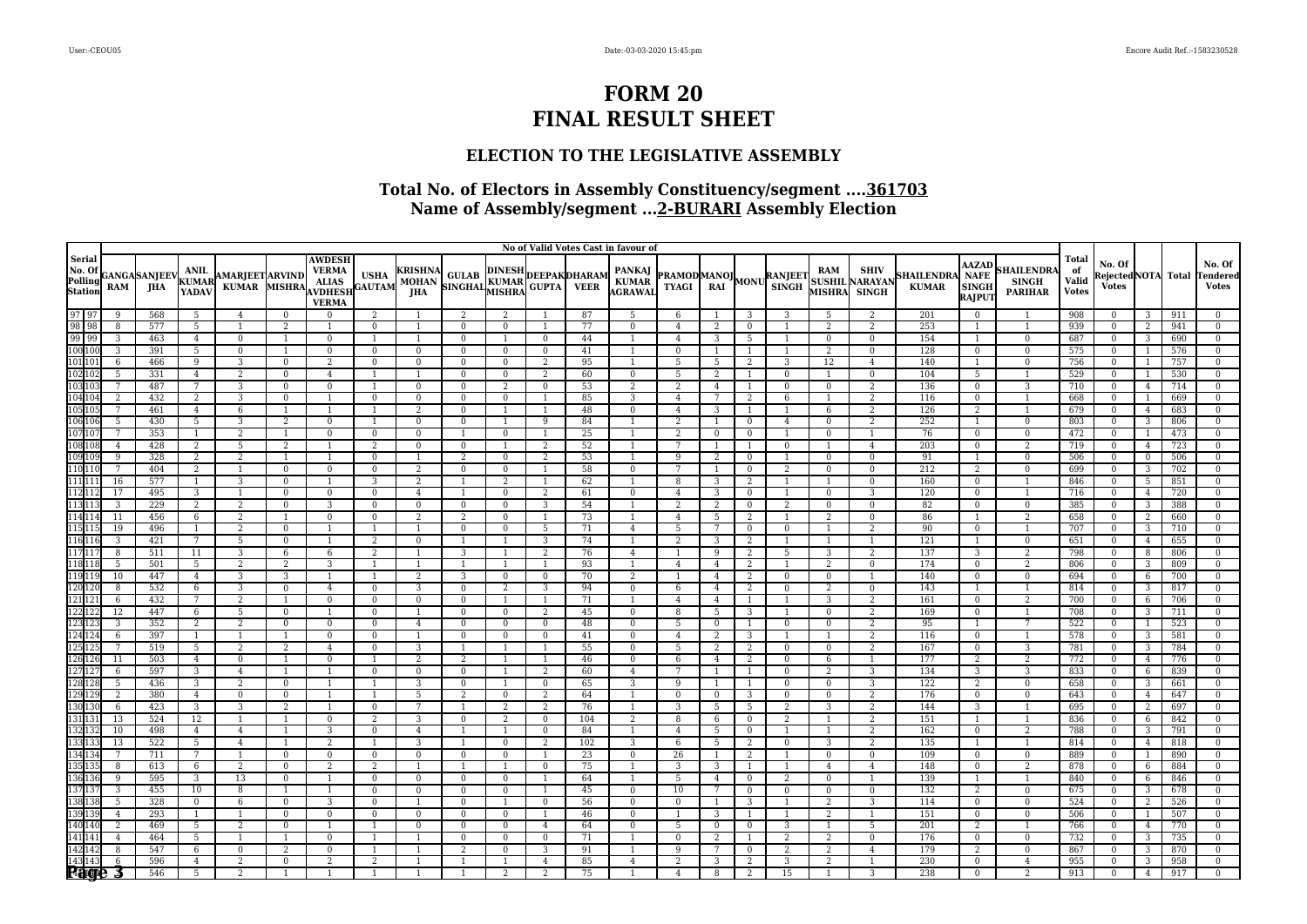### **ELECTION TO THE LEGISLATIVE ASSEMBLY**

|                                                                                                                                                                            |                |                             |                                      |                                        |                |                                                                                 |                              |                                              |                                                          |                          |                      |          | No of Valid Votes Cast in favour of |                                            |                     |                     |                |                            |                                                      |                                   |                                                              |                                                   |                                             |                                              |                |            |                                           |
|----------------------------------------------------------------------------------------------------------------------------------------------------------------------------|----------------|-----------------------------|--------------------------------------|----------------------------------------|----------------|---------------------------------------------------------------------------------|------------------------------|----------------------------------------------|----------------------------------------------------------|--------------------------|----------------------|----------|-------------------------------------|--------------------------------------------|---------------------|---------------------|----------------|----------------------------|------------------------------------------------------|-----------------------------------|--------------------------------------------------------------|---------------------------------------------------|---------------------------------------------|----------------------------------------------|----------------|------------|-------------------------------------------|
| Serial<br>No. Of<br>Polling<br>Station                                                                                                                                     | RAM            | <b>GANGA</b> SANJEEV<br>JHA | <b>ANIL</b><br><b>KUMAR</b><br>YADAV | <b>AMARJEET ARVIND</b><br><b>KUMAR</b> | MISHRA         | <b>AWDESH</b><br><b>VERMA</b><br><b>ALIAS</b><br><b>AVDHESE</b><br><b>VERMA</b> | <b>USHA</b><br><b>GAUTAM</b> | <b>KRISHNA</b><br><b>MOHAN</b><br><b>JHA</b> | A GULAB DINESH DEEPAK DHARAM<br>SINGHAL KUMAR GUPTA VEER |                          |                      |          | PANKAJ<br>KUMAR<br>AGRAWAI          | <b>PRAMODMANOJ</b><br>TYAGI RAI MONU SINGH |                     |                     |                | RAM                        | <b>SHIV</b><br><b>SUSHIL NARAYAN</b><br>MISHRA SINGH | <b>SHAILENDRA</b><br><b>KUMAR</b> | <b>AAZAD</b><br><b>NAFE</b><br><b>SINGH</b><br><b>RAJPUT</b> | <b>HAILENDR</b><br><b>SINGH</b><br><b>PARIHAR</b> | <b>Total</b><br>of<br>Valid<br><b>Votes</b> | No. Of<br>RejectedNOTA Total<br><b>Votes</b> |                |            | No. Of<br><b>Tendered</b><br><b>Votes</b> |
| 97 97<br>98 98<br>99 99<br>100 100                                                                                                                                         | 9              | 568                         | 5                                    | $\overline{4}$                         | $\Omega$       | $\Omega$                                                                        | 2                            |                                              | 2                                                        | $\overline{2}$           |                      | 87       | 5                                   | 6                                          |                     | 3                   | 3              | 5                          | 2                                                    | 201                               | $\mathbf{0}$                                                 |                                                   | 908                                         | $\Omega$                                     | 3              | 911        | $\Omega$                                  |
|                                                                                                                                                                            | 8              | 577                         | $5\overline{)}$                      |                                        | $\overline{2}$ |                                                                                 | $\Omega$                     |                                              | $\mathbf{0}$                                             | $\Omega$                 |                      | 77       | $\mathbf{0}$                        | 4                                          | 2                   | $\overline{0}$      |                | 2                          | 2                                                    | 253                               | 1                                                            |                                                   | 939                                         | $\Omega$                                     | 2              | 941        | $\Omega$                                  |
|                                                                                                                                                                            | 3              | 463                         | $\overline{4}$                       | $\overline{0}$                         | $\overline{1}$ | $\Omega$                                                                        |                              | $\overline{1}$                               | $\mathbf{0}$                                             | $\mathbf{1}$             | $\mathbf{0}$         | 44       | $\overline{1}$                      | $\overline{4}$                             | 3                   | 5                   |                | $\mathbf{0}$               | $\overline{0}$                                       | 154                               | $\mathbf{1}$                                                 | $\overline{0}$                                    | 687                                         | $\Omega$                                     | 3              | 690        | $\mathbf{0}$                              |
|                                                                                                                                                                            | 3              | 391                         | $5\overline{)}$                      | $\mathbf 0$                            | 1              | $\Omega$                                                                        | $\bf{0}$                     | $\mathbf{0}$                                 | $\mathbf{0}$                                             | $\mathbf{0}$             | $\overline{0}$       | 41       | 1                                   | $\mathbf{0}$                               | -1                  | -1                  | -1             | 2                          | $\overline{0}$                                       | 128                               | $\mathbf{0}$                                                 | $\bf{0}$                                          | 575                                         | $\bf{0}$                                     |                | 576        | $\bf{0}$                                  |
| 10110                                                                                                                                                                      | $\mathsf{f}$   | 466                         | 9                                    | 3                                      | $\Omega$       | 2                                                                               | $\mathbf{0}$                 | $\bf{0}$                                     | $\mathbf{0}$                                             | $\Omega$                 | 2                    | 95       |                                     | 5                                          | -5                  | 2                   | 3              | 12                         | $\overline{4}$                                       | 140                               | $\mathbf{1}$                                                 | $\Omega$                                          | 756                                         |                                              |                | 757        | $\Omega$                                  |
| $\frac{102}{103} \frac{102}{100}$                                                                                                                                          | 5              | 331                         | $\overline{4}$                       | 2                                      | $\Omega$       | $\overline{4}$                                                                  |                              | $\overline{1}$                               | $\mathbf{0}$                                             | $\mathbf{0}$             | 2                    | 60       | $\overline{0}$                      | 5                                          | 2                   | 1                   | $\Omega$       | $\overline{1}$             | $\overline{0}$                                       | 104                               | 5                                                            | 1                                                 | 529                                         | $\Omega$                                     |                | 530        | $\Omega$                                  |
|                                                                                                                                                                            | 7              | 487                         | $\overline{7}$                       | 3                                      | $\mathbf{0}$   | $\Omega$                                                                        |                              | $\mathbf{0}$                                 | $\mathbf{0}$                                             | 2                        | $\bf{0}$             | 53       | 2                                   | 2                                          | $\overline{4}$      | 1                   | $\bf{0}$       | $\bf{0}$                   | 2                                                    | 136                               | $\overline{0}$                                               | 3                                                 | 710                                         | $\mathbf{0}$                                 | $\overline{4}$ | 714        | $\mathbf{0}$                              |
| $\frac{104}{105} \frac{104}{105}$                                                                                                                                          | 2              | 432                         | 2                                    | 3                                      | $\mathbf{0}$   |                                                                                 | $\mathbf{0}$                 | $\bf{0}$                                     | $\mathbf{0}$                                             | $\mathbf{0}$             | -1                   | 85       | 3                                   | $\overline{4}$                             | 7                   | 2                   | 6              | $\overline{1}$             | 2                                                    | 116                               | $\overline{0}$                                               | 1                                                 | 668                                         | $\mathbf{0}$                                 |                | 669        | $\mathbf{0}$                              |
|                                                                                                                                                                            |                | 461                         | $\overline{4}$                       | 6                                      |                |                                                                                 |                              | 2                                            | $\mathbf{0}$                                             |                          |                      | 48       | $\bf{0}$                            | $\overline{4}$                             | 3                   |                     |                | 6                          | 2                                                    | 126                               | 2                                                            |                                                   | 679                                         | $\theta$                                     | $\overline{4}$ | 683        | $\Omega$                                  |
| 10610f                                                                                                                                                                     | $\overline{5}$ | 430                         | 5                                    | 3                                      | $\overline{2}$ | $\Omega$                                                                        |                              | $\Omega$                                     | $\Omega$                                                 |                          | 9                    | 84       |                                     | $\overline{2}$                             | $\overline{1}$      | $\Omega$            | $\overline{4}$ | $\Omega$                   | $\overline{2}$                                       | 252                               | $\mathbf{1}$                                                 | $\Omega$                                          | 803                                         | $\Omega$                                     | 3              | 806        | $\Omega$                                  |
|                                                                                                                                                                            | 7              | 353                         | 1                                    | 2                                      | $\mathbf{1}$   | $\mathbf{0}$                                                                    | $\bf{0}$                     | $\mathbf{0}$                                 | $\overline{1}$                                           | $\bf{0}$                 | $\overline{1}$       | 25       | 1                                   | 2                                          | $\overline{0}$      | $\bf{0}$            |                | $\bf{0}$                   | -1                                                   | 76                                | $\mathbf{0}$                                                 | $\bf{0}$                                          | 472                                         | $\overline{0}$                               |                | 473        | $\bf{0}$                                  |
| 107107<br>107107<br>108108<br>109109                                                                                                                                       | $\overline{4}$ | 428                         | 2                                    | 5                                      | 2              |                                                                                 | 2                            | $\bf{0}$                                     | $\mathbf{0}$                                             | -1                       | 2                    | 52       | -1                                  | 7                                          | -1                  | -1                  | $\mathbf{0}$   | $\overline{1}$             | $\overline{4}$                                       | 203                               | $\mathbf{0}$                                                 | 2                                                 | 719                                         | $\Omega$                                     | $\overline{4}$ | 723        | $\bf{0}$                                  |
|                                                                                                                                                                            | 9              | 328                         | $\overline{a}$                       | 2                                      |                |                                                                                 | $\mathbf{0}$                 |                                              | 2                                                        | $\Omega$                 | 2                    | 53       |                                     | 9                                          | $\overline{2}$      | $\mathbf{0}$        |                | $\bf{0}$                   | $\mathbf{0}$                                         | 91                                | $\mathbf{1}$                                                 | $\mathbf{0}$                                      | 506                                         | $\Omega$                                     | $\mathbf{0}$   | 506        | $\Omega$                                  |
| $\frac{110}{110}$ $\frac{110}{111}$                                                                                                                                        | $\overline{7}$ | 404                         | $\overline{2}$                       | 1                                      | $\Omega$       | $\Omega$                                                                        | $\mathbf{0}$                 | 2                                            | $\overline{0}$                                           | $\mathbf{0}$             | 1                    | 58       | $\mathbf{0}$                        | 7                                          | -1                  | $\mathbf{0}$        | 2              | $\mathbf{0}$               | $\overline{0}$                                       | 212                               | $\overline{2}$                                               | $\mathbf{0}$                                      | 699                                         | $\Omega$                                     | 3              | 702        | $\Omega$                                  |
|                                                                                                                                                                            | 16             | 577                         | 1                                    | 3                                      | $\mathbf{0}$   |                                                                                 | 3                            | 2                                            | 1                                                        | 2                        | -1                   | 62       | 1                                   | 8                                          | 3                   | 2                   | $\mathbf{1}$   | $\mathbf{1}$               | $\mathbf{0}$                                         | 160                               | $\mathbf{0}$                                                 | $\mathbf{1}$                                      | 846                                         | $\overline{0}$                               | 5              | 851        | $\mathbf{0}$                              |
| $\frac{111}{112}$ $\frac{11}{11}$                                                                                                                                          | 17             | 495                         | 3                                    | 1                                      | $\mathbf{0}$   | $\mathbf{0}$                                                                    | $\mathbf{0}$                 | $\overline{4}$                               | 1                                                        | $\mathbf{0}$             | 2                    | 61       | $\bf{0}$                            | $\overline{4}$                             | 3                   | $\mathbf{0}$        | 1              | $\mathbf{0}$               | 3                                                    | 120                               | $\mathbf{0}$                                                 | 1                                                 | 716                                         | $\Omega$                                     | $\overline{4}$ | 720        | $\bf{0}$                                  |
| $\frac{113}{113}$ $\frac{113}{114}$                                                                                                                                        | 3              | 229                         | $\overline{2}$                       | $\overline{2}$                         | $\Omega$       | 3                                                                               | $\mathbf{0}$                 | $\mathbf{0}$                                 | $\mathbf{0}$                                             | $\Omega$                 | 3                    | 54       |                                     | $\overline{2}$                             | $\overline{2}$      | $\mathbf{0}$        | $\overline{2}$ | $\mathbf{0}$               | $\mathbf{0}$                                         | 82                                | $\mathbf{0}$                                                 | $\mathbf{0}$                                      | 385                                         | $\Omega$                                     | 3              | 388        | $\Omega$                                  |
|                                                                                                                                                                            | 11             | 456                         | 6                                    | 2                                      |                | $\Omega$                                                                        | $\Omega$                     | $\overline{2}$                               | 2                                                        | $\Omega$                 | -1                   | 73<br>71 |                                     | $\overline{4}$                             | -5                  | 2                   |                | 2                          | $\Omega$                                             | 86                                | $\overline{1}$                                               | $\overline{2}$                                    | 658                                         | $\Omega$                                     | 2              | 660        | $\Omega$                                  |
|                                                                                                                                                                            | 19             | 496                         | 1                                    | 2                                      | $\Omega$       |                                                                                 |                              |                                              | $\mathbf{0}$                                             | $\mathbf{0}$             | - 5                  |          | $\overline{4}$                      | 5                                          | 7                   | $\mathbf{0}$        | $\mathbf{0}$   | $\overline{1}$             | 2                                                    | 90                                | $\mathbf{0}$                                                 | $\mathbf{1}$                                      | 707                                         | $\Omega$                                     | 3              | 710        | $\Omega$                                  |
|                                                                                                                                                                            | 3<br>8         | 421                         | $7\overline{ }$                      | 5                                      | $\mathbf{0}$   |                                                                                 | 2                            | $\mathbf{0}$                                 | $\overline{1}$                                           | $\overline{1}$           | 3                    | 74       | 1                                   | 2                                          | 3                   | 2                   | -1             | -1                         | 1                                                    | 121                               | 1                                                            | $\bf{0}$                                          | 651                                         | $\overline{0}$                               | $\overline{4}$ | 655        | $\bf{0}$                                  |
|                                                                                                                                                                            |                | 511                         | 11                                   | 3                                      | 6              | 6                                                                               | $\overline{2}$               |                                              | 3                                                        |                          | 2                    | 76       | $\overline{4}$                      |                                            | 9                   | 2                   | 5              | 3                          | 2                                                    | 137                               | 3                                                            | $\overline{2}$                                    | 798                                         |                                              | 8              | 806        | $\Omega$                                  |
|                                                                                                                                                                            | 5              | 501                         | 5                                    | 2                                      | $\overline{2}$ | 3                                                                               |                              | $\overline{1}$<br>2                          | $\overline{1}$                                           | $\mathbf{1}$             | $\overline{1}$       | 93<br>70 | $\mathbf{1}$                        | $\overline{4}$<br>1                        | $\overline{4}$      | 2                   | $\mathbf{1}$   | 2                          | $\Omega$                                             | 174                               | $\Omega$                                                     | 2<br>$\mathbf{0}$                                 | 806                                         | $\Omega$                                     | 3              | 809        | $\Omega$<br>$\mathbf{0}$                  |
|                                                                                                                                                                            | 10             | 447                         | $\overline{4}$                       | 3                                      | 3              |                                                                                 |                              |                                              | 3                                                        | $\bf{0}$                 | $\mathbf{0}$         |          | 2                                   |                                            | $\overline{4}$      | 2                   | $\bf{0}$       | $\bf{0}$                   | 1                                                    | 140                               | $\overline{0}$                                               |                                                   | 694                                         | $\mathbf{0}$                                 | 6              | 700        |                                           |
|                                                                                                                                                                            | 8              | 532                         | 6<br>7                               | 3                                      | $\mathbf{0}$   | $\overline{4}$<br>$\Omega$                                                      | $\bf{0}$                     | 3                                            | $\mathbf{0}$                                             | 2                        | 3                    | 94       | $\bf{0}$                            | 6                                          | $\overline{4}$      | 2                   | $\bf{0}$       | 2                          | $\mathbf{0}$                                         | 143                               | 1                                                            | $\overline{1}$                                    | 814                                         | $\Omega$<br>$\Omega$                         | 3              | 817        | $\mathbf{0}$<br>$\Omega$                  |
| $\begin{array}{r} 115 \\ 116 \\ 116 \\ 117 \\ 117 \\ 118 \\ 118 \\ 119 \\ 119 \\ 120 \\ 121 \\ 122 \\ 123 \\ 123 \\ 124 \\ 124 \\ 124 \\ 125 \\ 125 \\ 125 \\ \end{array}$ | 6<br>12        | 432<br>447                  | 6                                    | 2<br>5                                 | $\Omega$       |                                                                                 | $\bf{0}$<br>$\Omega$         | $\bf{0}$                                     | $\mathbf{0}$<br>$\Omega$                                 | $\Omega$                 | 2                    | 71<br>45 | $\mathbf{0}$                        | $\overline{4}$<br>8                        | $\overline{4}$<br>5 | $\overline{1}$<br>3 |                | 3<br>$\Omega$              | 2<br>$\overline{2}$                                  | 161<br>169                        | $\bf{0}$<br>$\mathbf{0}$                                     | 2                                                 | 700<br>708                                  | $\Omega$                                     | 6<br>3         | 706<br>711 | $\Omega$                                  |
|                                                                                                                                                                            | 3              | 352                         | 2                                    | 2                                      | $\mathbf{0}$   | $\mathbf{0}$                                                                    | $\overline{0}$               |                                              |                                                          |                          |                      | 48       | $\bf{0}$                            | 5                                          |                     | 1                   |                |                            | 2                                                    | 95                                | $\mathbf{1}$                                                 | 7                                                 | 522                                         | $\overline{0}$                               |                | 523        |                                           |
|                                                                                                                                                                            | 6              | 397                         | 1                                    | $\mathbf{1}$                           |                | $\Omega$                                                                        | $\mathbf{0}$                 | $\overline{4}$<br>-1                         | $\bf{0}$<br>$\mathbf{0}$                                 | $\bf{0}$<br>$\mathbf{0}$ | $\bf{0}$<br>$\bf{0}$ | 41       | $\bf{0}$                            |                                            | $\overline{0}$      | 3                   | $\bf{0}$       | $\bf{0}$<br>$\overline{1}$ | 2                                                    | 116                               | $\mathbf{0}$                                                 | $\overline{1}$                                    | 578                                         | $\mathbf{0}$                                 | -3             | 581        | $\bf{0}$<br>$\bf{0}$                      |
|                                                                                                                                                                            |                | 519                         | 5 <sup>7</sup>                       | $\overline{2}$                         | $\overline{2}$ | $\overline{4}$                                                                  | $\Omega$                     | 3                                            | $\overline{1}$                                           |                          |                      | 55       | $\mathbf{0}$                        | $\overline{4}$<br>5                        | 2<br>$\overline{2}$ | 2                   | $\mathbf{0}$   | $\Omega$                   | $\overline{2}$                                       | 167                               | $\mathbf{0}$                                                 | $\overline{3}$                                    | 781                                         | $\Omega$                                     | 3              | 784        | $\Omega$                                  |
|                                                                                                                                                                            | 11             | 503                         | $\overline{4}$                       | $\mathbf{0}$                           | 1              | $\Omega$                                                                        |                              | 2                                            | 2                                                        | $\mathbf{1}$             | -1                   | 46       | $\bf{0}$                            | 6                                          | $\overline{4}$      | 2                   | $\mathbf{0}$   | 6                          | $\overline{1}$                                       | 177                               | $\overline{2}$                                               | 2                                                 | 772                                         | $\Omega$                                     | $\overline{4}$ | 776        | $\Omega$                                  |
|                                                                                                                                                                            | 6              | 597                         | 3                                    | $\overline{4}$                         | $\overline{1}$ |                                                                                 | $\Omega$                     | $\Omega$                                     | $\mathbf{0}$                                             |                          | 2                    | 60       | $\overline{4}$                      | $\overline{7}$                             | $\overline{1}$      | 1                   | $\Omega$       | 2                          | 3                                                    | 134                               | $\overline{3}$                                               | 3                                                 | 833                                         | $\Omega$                                     | 6              | 839        | $\Omega$                                  |
|                                                                                                                                                                            | 5              | 436                         | 3                                    | $\overline{2}$                         | $\overline{0}$ |                                                                                 |                              | 3                                            | $\mathbf{0}$                                             | 1                        | $\bf{0}$             | 65       | 3                                   | 9                                          | -1                  | -1                  | $\bf{0}$       | $\mathbf{0}$               | 3                                                    | 122                               | $\overline{a}$                                               | $\mathbf{0}$                                      | 658                                         | $\mathbf{0}$                                 | 3              | 661        | $\bf{0}$                                  |
| 125 125<br>126 126<br>127 127<br>128 128<br>129 129<br>130 130                                                                                                             | $\overline{2}$ | 380                         | $\overline{4}$                       | $\mathbf{0}$                           | $\Omega$       |                                                                                 |                              | 5                                            | $\overline{2}$                                           | $\Omega$                 | 2                    | 64       |                                     | $\Omega$                                   | $\overline{0}$      | 3                   | $\mathbf{0}$   | $\mathbf{0}$               | $\overline{2}$                                       | 176                               | $\mathbf{0}$                                                 | $\Omega$                                          | 643                                         | $\theta$                                     | $\overline{4}$ | 647        | $\Omega$                                  |
|                                                                                                                                                                            | 6              | 423                         | $\overline{3}$                       | 3                                      | 2              |                                                                                 | $\Omega$                     | 7                                            | $\overline{1}$                                           | 2                        | $\overline{2}$       | 76       |                                     | 3                                          | -5                  | 5                   | 2              | 3                          | 2                                                    | 144                               | 3                                                            |                                                   | 695                                         | $\Omega$                                     | 2              | 697        | $\Omega$                                  |
|                                                                                                                                                                            | 13             | 524                         | 12                                   | 1                                      | $\overline{1}$ | $\Omega$                                                                        | 2                            | 3                                            | $\bf{0}$                                                 | $\overline{2}$           | $\bf{0}$             | 104      | 2                                   | 8                                          | 6                   | $\bf{0}$            | 2              | $\overline{1}$             | 2                                                    | 151                               | 1                                                            | -1                                                | 836                                         | $\Omega$                                     | 6              | 842        | $\mathbf{0}$                              |
|                                                                                                                                                                            | 10             | 498                         | $\overline{4}$                       | $\overline{4}$                         |                | 3                                                                               | $\mathbf{0}$                 | $\overline{4}$                               | $\overline{1}$                                           | $\mathbf{1}$             | $\mathbf{0}$         | 84       | $\overline{1}$                      | $\overline{4}$                             | 5                   | $\mathbf{0}$        |                | $\overline{1}$             | 2                                                    | 162                               | $\mathbf{0}$                                                 | $\overline{2}$                                    | 788                                         | $\Omega$                                     | 3              | 791        | $\bf{0}$                                  |
|                                                                                                                                                                            | 13             | 522                         | 5                                    | $\overline{4}$                         |                |                                                                                 |                              | 3                                            |                                                          | $\Omega$                 | 2                    | 102      | 3                                   | 6                                          | 5                   | 2                   | $\bf{0}$       | 3                          | 2                                                    | 135                               |                                                              |                                                   | 814                                         |                                              | $\overline{4}$ | 818        | $\Omega$                                  |
|                                                                                                                                                                            | $\overline{7}$ | 711                         | $7\overline{ }$                      | $\overline{1}$                         | $\Omega$       | $\Omega$                                                                        | $\mathbf{0}$                 | $\mathbf{0}$                                 | $\Omega$                                                 | $\mathbf{0}$             | $\overline{1}$       | 23       | $\mathbf{0}$                        | 26                                         | -1                  | 2                   | $\mathbf{1}$   | $\mathbf{0}$               | $\Omega$                                             | 109                               | $\Omega$                                                     | $\mathbf{0}$                                      | 889                                         | $\Omega$                                     |                | 890        | $\Omega$                                  |
|                                                                                                                                                                            | 8              | 613                         | 6                                    | 2                                      | $\mathbf{0}$   | 2                                                                               | 2                            | $\overline{1}$                               | $\overline{1}$                                           | $\mathbf{1}$             | $\bf{0}$             | 75       | 1                                   | 3                                          | 3                   | 1                   | 1              | $\overline{4}$             | $\overline{4}$                                       | 148                               | $\overline{0}$                                               | 2                                                 | 878                                         | $\mathbf{0}$                                 | 6              | 884        | $\mathbf{0}$                              |
|                                                                                                                                                                            | $\mathbf{q}$   | 595                         | 3                                    | 13                                     | $\overline{0}$ |                                                                                 | $\bf{0}$                     | $\bf{0}$                                     | $\mathbf{0}$                                             | $\overline{0}$           | -1                   | 64       | 1                                   | 5                                          | $\overline{4}$      | $\overline{0}$      | $\overline{2}$ | $\mathbf{0}$               | $\overline{1}$                                       | 139                               | 1                                                            | 1                                                 | 840                                         | $\Omega$                                     | 6              | 846        | $\bf{0}$                                  |
|                                                                                                                                                                            | 3              | 455                         | 10                                   | 8                                      |                |                                                                                 | $\mathbf{0}$                 | $\mathbf{0}$                                 | $\mathbf{0}$                                             | $\mathbf{0}$             |                      | 45       | $\mathbf{0}$                        | 10                                         | 7                   | $\mathbf{0}$        | $\mathbf{0}$   | $\mathbf{0}$               | $\mathbf{0}$                                         | 132                               | 2                                                            | $\mathbf{0}$                                      | 675                                         | $\theta$                                     | 3              | 678        | $\mathbf{0}$                              |
| 131 131<br>132 132<br>133 133<br>134 134<br>135 135<br>136 136<br>137 137<br>138 138<br>139 139<br>140 140                                                                 | 5              | 328                         | $\mathbf{0}$                         | 6                                      | $\Omega$       | 3                                                                               | $\Omega$                     |                                              | $\mathbf{0}$                                             | $\mathbf{1}$             | $\mathbf{0}$         | 56       | $\mathbf{0}$                        | $\Omega$                                   | $\overline{1}$      | 3                   |                | 2                          | 3                                                    | 114                               | $\mathbf{0}$                                                 | $\Omega$                                          | 524                                         | $\Omega$                                     | 2              | 526        | $\Omega$                                  |
|                                                                                                                                                                            | $\overline{4}$ | 293                         | 1                                    | $\overline{1}$                         | $\Omega$       | $\Omega$                                                                        | $\Omega$                     | $\mathbf{0}$                                 | $\mathbf{0}$                                             | $\mathbf{0}$             | $\overline{1}$       | 46       | $\mathbf{0}$                        |                                            | 3                   | $\overline{1}$      |                | 2                          | <sup>1</sup>                                         | 151                               | $\mathbf{0}$                                                 | $\mathbf{0}$                                      | 506                                         | $\Omega$                                     |                | 507        | $\Omega$                                  |
|                                                                                                                                                                            | 2              | 469                         | 5                                    | 2                                      | $\Omega$       |                                                                                 |                              | $\mathbf{0}$                                 | $\mathbf{0}$                                             | $\mathbf{0}$             | 4                    | 64       | $\bf{0}$                            | 5                                          | $\overline{0}$      | $\mathbf{0}$        | 3              | $\overline{1}$             | 5                                                    | 201                               | 2                                                            | $\overline{1}$                                    | 766                                         | $\mathbf{0}$                                 | $\overline{4}$ | 770        | $\mathbf{0}$                              |
| 141141                                                                                                                                                                     | $\overline{4}$ | 464                         | 5 <sup>7</sup>                       | -1                                     |                | $\Omega$                                                                        |                              |                                              | $\mathbf{0}$                                             | $\Omega$                 | $\Omega$             | 71       |                                     | $\Omega$                                   | 2                   |                     | $\overline{2}$ | 2                          | $\mathbf{0}$                                         | 176                               | $\mathbf{0}$                                                 | $\mathbf{0}$                                      | 732                                         |                                              | 3              | 735        | $\Omega$                                  |
|                                                                                                                                                                            | 8              | 547                         | 6                                    | $\mathbf{0}$                           | 2              | $\Omega$                                                                        |                              |                                              | 2                                                        | $\Omega$                 | 3                    | 91       |                                     | 9                                          | 7                   | $\Omega$            | 2              | 2                          | $\overline{4}$                                       | 179                               | 2                                                            | $\mathbf{0}$                                      | 867                                         |                                              | 3              | 870        | $\Omega$                                  |
| $\frac{\frac{141}{142}}{\frac{143}{143}}$                                                                                                                                  | 6              | 596                         | $\overline{4}$                       | 2                                      | $\Omega$       |                                                                                 | $\overline{2}$               |                                              | $\overline{1}$                                           |                          | $\overline{4}$       | 85       | $\overline{4}$                      | $\overline{2}$                             | 3                   | $\overline{2}$      | 3              | $\overline{2}$             | $\overline{1}$                                       | 230                               | $\mathbf{0}$                                                 | $\overline{4}$                                    | 955                                         |                                              | 3              | 958        | $\Omega$                                  |
|                                                                                                                                                                            |                | 546                         | 5                                    | $\overline{2}$                         |                |                                                                                 |                              |                                              | $\mathbf{1}$                                             | $\overline{2}$           | 2                    | 75       |                                     | $\overline{4}$                             | 8                   | 2                   | 15             |                            | 3                                                    | 238                               | $\overline{0}$                                               | 2                                                 | 913                                         | $\Omega$                                     | $\overline{4}$ | 917        | $\Omega$                                  |
|                                                                                                                                                                            |                |                             |                                      |                                        |                |                                                                                 |                              |                                              |                                                          |                          |                      |          |                                     |                                            |                     |                     |                |                            |                                                      |                                   |                                                              |                                                   |                                             |                                              |                |            |                                           |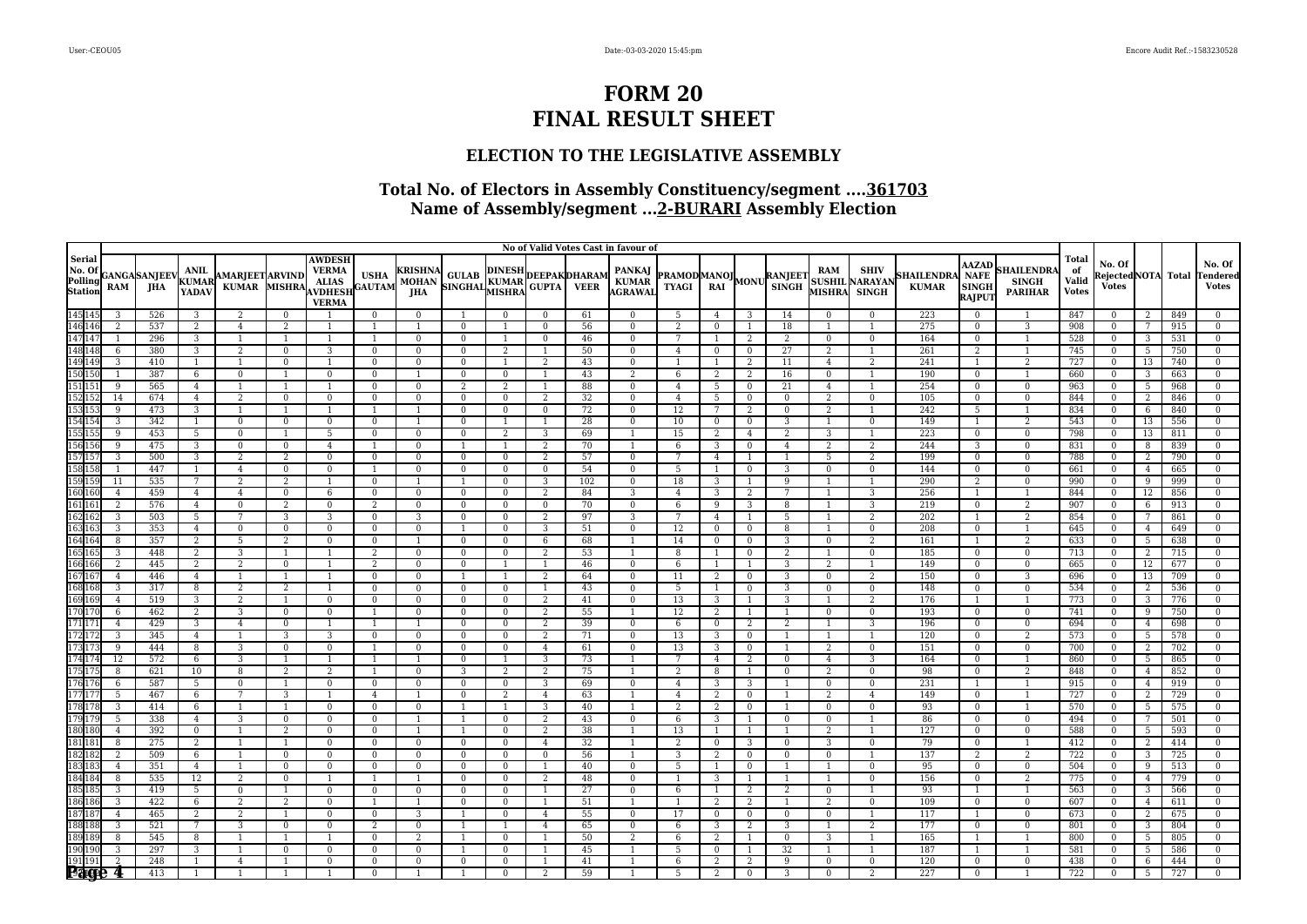### **ELECTION TO THE LEGISLATIVE ASSEMBLY**

|                                                                                  |                     |                      |                               |                                        |                            |                                                                                 |                |                                                              |                                                          |                      |                            |           | No of Valid Votes Cast in favour of |                                                          |                      |                |                |                                |                                               |                                  |                                                       |                                                   |                                             |                                              |                |            |                                           |
|----------------------------------------------------------------------------------|---------------------|----------------------|-------------------------------|----------------------------------------|----------------------------|---------------------------------------------------------------------------------|----------------|--------------------------------------------------------------|----------------------------------------------------------|----------------------|----------------------------|-----------|-------------------------------------|----------------------------------------------------------|----------------------|----------------|----------------|--------------------------------|-----------------------------------------------|----------------------------------|-------------------------------------------------------|---------------------------------------------------|---------------------------------------------|----------------------------------------------|----------------|------------|-------------------------------------------|
| Serial<br>No. Of<br>Polling<br>Station                                           | RAM                 | GANGA SANJEEV<br>JHA | <b>ANIL</b><br>KUMAR<br>YADAV | <b>AMARJEET ARVIND</b><br><b>KUMAR</b> | <b>MISHRA</b>              | <b>AWDESH</b><br><b>VERMA</b><br><b>ALIAS</b><br><b>AVDHESH</b><br><b>VERMA</b> |                | <b>KRISHNA</b><br>USHA KRISHNA<br>GAUTAM MOHAN<br><b>JHA</b> | A GULAB DINESH DEEPAK DHARAM<br>SINGHAL KUMAR GUPTA VEER |                      |                            |           | PANKAJ<br>KUMAR<br>AGRAWAI          | <b>PRAMOD MANOJ MONU RANJEET</b><br>TYAGI RAI MONU SINGH |                      |                |                | RAM                            | <b>SHIV</b><br>SUSHIL NARAYAN<br>MISHRA SINGH | <b>HAILENDRA</b><br><b>KUMAR</b> | <b>AAZAD</b><br><b>NAFE</b><br><b>SINGH</b><br>RAJPUT | <b>HAILENDR</b><br><b>SINGH</b><br><b>PARIHAR</b> | <b>Total</b><br>of<br>Valid<br><b>Votes</b> | No. Of<br>RejectedNOTA Total<br><b>Votes</b> |                |            | No. Of<br><b>Fendered</b><br><b>Votes</b> |
| 145<br>146<br>146                                                                | 3                   | 526                  | 3                             | 2                                      | $\Omega$                   |                                                                                 | $\mathbf{0}$   | $\Omega$                                                     |                                                          | $\Omega$             | $\overline{0}$             | 61        | $\Omega$                            | 5                                                        | $\overline{4}$       | 3              | 14             | $\mathbf{0}$                   | $\Omega$                                      | 223                              | $\mathbf{0}$                                          |                                                   | 847                                         | $\Omega$                                     | 2              | 849        | $\Omega$                                  |
|                                                                                  | $\overline{2}$      | 537                  | $\overline{2}$                | $\overline{4}$                         | 2                          |                                                                                 |                |                                                              | $\mathbf{0}$                                             |                      | $\Omega$                   | 56        | $\bf{0}$                            | 2                                                        | $\overline{0}$       | $\overline{1}$ | 18             |                                |                                               | 275                              | $\mathbf{0}$                                          | 3                                                 | 908                                         |                                              | 7              | 915        | $\Omega$                                  |
| $\frac{110116}{147147}$                                                          | $\overline{1}$      | 296                  | 3                             | $\mathbf{1}$                           |                            |                                                                                 |                | $\Omega$                                                     | $\mathbf{0}$                                             | $\overline{1}$       | $\mathbf{0}$               | 46        | $\mathbf{0}$                        | 7                                                        | $\overline{1}$       | 2              | 2              | $\mathbf{0}$                   | $\mathbf{0}$                                  | 164                              | $\mathbf{0}$                                          | $\overline{1}$                                    | 528                                         | $\Omega$                                     | 3              | 531        | $\Omega$                                  |
|                                                                                  | 6                   | 380                  | $\overline{3}$                | $\overline{2}$                         | $\Omega$                   | 3                                                                               | $\overline{0}$ | $\Omega$                                                     | $\Omega$                                                 | 2                    | 1                          | 50        | $\mathbf{0}$                        | $\overline{4}$                                           | $\overline{0}$       | $\overline{0}$ | 27             | 2                              | $\overline{1}$                                | 261                              | $\overline{2}$                                        | $\overline{1}$                                    | 745                                         | $\Omega$                                     | 5              | 750        | $\bf{0}$                                  |
|                                                                                  | 3                   | 410                  | 1                             |                                        | $\bf{0}$                   |                                                                                 | $\overline{0}$ | $\mathbf{0}$                                                 | $\bf{0}$                                                 |                      | 2                          | 43        | $\bf{0}$                            |                                                          |                      | 2              | 11             | 4                              | 2                                             | 241                              | 1                                                     | 2                                                 | 727                                         | $\Omega$                                     | 13             | 740        | $\Omega$                                  |
|                                                                                  |                     | 387                  | 6                             | $\mathbf{0}$                           | $\overline{1}$             | $\Omega$                                                                        | $\Omega$       | $\overline{1}$                                               | $\Omega$                                                 | $\mathbf{0}$         | $\overline{1}$             | 43        | $\overline{2}$                      | 6                                                        | 2                    | 2              | 16             | $\mathbf{0}$                   | $\overline{1}$                                | 190                              | $\mathbf{0}$                                          | $\overline{1}$                                    | 660                                         | $\Omega$                                     | 3              | 663        | $\Omega$                                  |
|                                                                                  | $\overline{9}$      | 565                  | $\overline{4}$                | $\mathbf{1}$                           |                            |                                                                                 | $\Omega$       | $\Omega$                                                     | $\overline{2}$                                           | $\overline{2}$       | $\overline{1}$             | 88        | $\mathbf{0}$                        | $\overline{4}$                                           | $\overline{5}$       | $\mathbf{0}$   | 21             | $\overline{4}$                 | $\overline{1}$                                | 254                              | $\mathbf{0}$                                          | $\Omega$                                          | 963                                         | $\Omega$                                     | 5              | 968        | $\Omega$                                  |
|                                                                                  | 14                  | 674                  | $\overline{4}$                | $\overline{2}$                         | $\mathbf{0}$               | $\bf{0}$                                                                        | $\bf{0}$       | $\mathbf{0}$                                                 | $\mathbf{0}$                                             | $\bf{0}$             | -2                         | 32        | $\bf{0}$                            | $\overline{4}$                                           | 5                    | $\bf{0}$       | $\bf{0}$       | 2                              | $\bf{0}$                                      | 105                              | $\overline{0}$                                        | $\overline{0}$                                    | 844                                         | $\overline{0}$                               | 2              | 846        | $\bf{0}$                                  |
|                                                                                  | 9                   | 473                  | 3                             | -1                                     |                            |                                                                                 |                | -1                                                           | $\mathbf{0}$                                             | $\mathbf{0}$         | $\mathbf{0}$               | 72        | $\bf{0}$                            | 12                                                       | 7                    | 2              | $\mathbf{0}$   | 2                              | $\overline{1}$                                | 242                              | 5                                                     | $\mathbf{1}$                                      | 834                                         | $\Omega$                                     | 6              | 840        | $\mathbf{0}$                              |
|                                                                                  | 3                   | 342                  | $\mathbf{1}$                  | $\Omega$                               | $\Omega$                   | $\Omega$                                                                        | $\Omega$       |                                                              | $\Omega$                                                 |                      |                            | 28        | $\Omega$                            | 10                                                       | $\overline{0}$       | $\Omega$       | 3              |                                | $\Omega$                                      | 149                              | $\mathbf{1}$                                          | $\overline{2}$                                    | 543                                         |                                              | 13             | 556        | $\Omega$                                  |
| $\frac{151}{155} \frac{155}{155}$                                                | 9                   | 453                  | 5                             | $\Omega$                               |                            | 5                                                                               | $\Omega$       | $\bf{0}$                                                     | $\mathbf{0}$                                             | 2                    | 3                          | 69        |                                     | 15                                                       | 2                    | $\overline{4}$ | 2              | 3                              | $\overline{1}$                                | 223                              | $\bf{0}$                                              | $\bf{0}$                                          | 798                                         | $\Omega$                                     | 13             | 811        | $\Omega$                                  |
|                                                                                  | 9                   | 475                  | 3                             | $\Omega$                               | $\Omega$                   | $\overline{4}$                                                                  |                | $\Omega$                                                     | $\overline{1}$                                           |                      | 2                          | 70        | -1                                  | 6                                                        | 3                    | $\Omega$       | $\overline{4}$ | 2                              | 2                                             | 244                              | 3                                                     | $\mathbf{0}$                                      | 831                                         | $\Omega$                                     | 8              | 839        | $\bf{0}$                                  |
|                                                                                  | 3<br>$\overline{1}$ | 500                  | 3                             | 2                                      | 2                          | $\Omega$                                                                        | $\mathbf{0}$   | $\mathbf{0}$                                                 | $\mathbf{0}$                                             | $\mathbf{0}$         | 2                          | 57        | $\overline{0}$                      | 7                                                        | $\overline{4}$       | 1              | 1              | -5                             | 2                                             | 199                              | $\mathbf{0}$                                          | $\mathbf{0}$                                      | 788                                         | $\theta$                                     | 2              | 790        | $\Omega$                                  |
| 157 157<br>158 158<br>159 159<br>160 160                                         | 11                  | 447<br>535           | 1<br>$7\overline{ }$          | $\overline{4}$<br>$\overline{2}$       | $\Omega$<br>$\overline{2}$ | $\Omega$                                                                        |                | $\bf{0}$                                                     | $\mathbf{0}$<br>$\overline{1}$                           | $\Omega$             | $\Omega$<br>$\overline{3}$ | 54<br>102 | $\overline{0}$                      | 5                                                        | -1<br>$\overline{3}$ | $\mathbf{0}$   | 3<br>9         | $\mathbf{0}$<br>$\overline{1}$ | $\mathbf{0}$                                  | 144<br>290                       | $\mathbf{0}$<br>$\overline{2}$                        | $\Omega$<br>$\Omega$                              | 661<br>990                                  | $\Omega$<br>$\Omega$                         | $\overline{4}$ | 665<br>999 | $\Omega$<br>$\Omega$                      |
|                                                                                  | $\overline{4}$      |                      |                               |                                        | $\mathbf{0}$               | 6                                                                               | $\Omega$       |                                                              |                                                          | $\Omega$             |                            |           | $\mathbf{0}$                        | 18                                                       |                      | 1              | 7              |                                |                                               | 256                              |                                                       |                                                   |                                             | $\overline{0}$                               | 9              |            |                                           |
| 161 16                                                                           | 2                   | 459<br>576           | $\overline{4}$                | $\overline{4}$<br>$\overline{0}$       | 2                          | $\Omega$                                                                        | $\bf{0}$<br>2  | $\bf{0}$<br>$\mathbf{0}$                                     | $\bf{0}$<br>$\mathbf{0}$                                 | $\bf{0}$<br>$\Omega$ | 2<br>$\overline{0}$        | 84<br>70  | 3                                   | $\overline{4}$                                           | 3<br>9               | 2<br>3         | 8              | -1<br>$\overline{1}$           | 3<br>3                                        | 219                              | 1<br>$\overline{0}$                                   | 1<br>$\overline{2}$                               | 844<br>907                                  | $\Omega$                                     | 12             | 856        | $\bf{0}$<br>$\bf{0}$                      |
| 16216                                                                            | 3                   | 503                  | $\overline{4}$<br>5           | 7                                      | 3                          | 3                                                                               | $\mathbf{0}$   | 3                                                            | $\Omega$                                                 | $\Omega$             | 2                          | 97        | $\bf{0}$<br>3                       | 6<br>7                                                   | $\overline{4}$       |                | 5              |                                | $\overline{2}$                                | 202                              |                                                       | $\overline{2}$                                    | 854                                         | $\Omega$                                     | 6<br>7         | 913<br>861 | $\Omega$                                  |
|                                                                                  | 3                   | 353                  | $\overline{4}$                | $\Omega$                               | $\Omega$                   | $\Omega$                                                                        | $\Omega$       | $\Omega$                                                     | $\overline{1}$                                           | $\Omega$             | 3                          | 51        | $\Omega$                            | 12                                                       | $\overline{0}$       | $\mathbf{0}$   | 8              |                                | $\mathbf{0}$                                  | 208                              | $\mathbf{0}$                                          | $\mathbf{1}$                                      | 645                                         | $\Omega$                                     | $\overline{4}$ | 649        | $\Omega$                                  |
| 163 163<br>164 164                                                               | 8                   | 357                  | 2                             | 5                                      | $\overline{2}$             | $\Omega$                                                                        | $\overline{0}$ | $\overline{1}$                                               | $\overline{0}$                                           | $\bf{0}$             | 6                          | 68        | 1                                   | 14                                                       | $\overline{0}$       | $\bf{0}$       | 3              | $\bf{0}$                       | 2                                             | 161                              | 1                                                     | $\overline{2}$                                    | 633                                         | $\overline{0}$                               | 5              | 638        | $\bf{0}$                                  |
| 104104<br>165165<br>166166<br>167167<br>168168<br>169169<br>170170               | 3                   | 448                  | 2                             | 3                                      | 1                          |                                                                                 | 2              | $\mathbf{0}$                                                 | $\mathbf{0}$                                             | $\overline{0}$       | 2                          | 53        | 1                                   | 8                                                        | -1                   | $\mathbf{0}$   | 2              | $\overline{1}$                 | $\mathbf{0}$                                  | 185                              | $\overline{0}$                                        | $\mathbf{0}$                                      | 713                                         | $\mathbf{0}$                                 | 2              | 715        | $\mathbf{0}$                              |
|                                                                                  | $\overline{2}$      | 445                  | $\overline{2}$                | 2                                      | $\mathbf{0}$               |                                                                                 | 2              | $\bf{0}$                                                     | $\mathbf{0}$                                             | $\mathbf{1}$         | $\overline{1}$             | 46        | $\bf{0}$                            | 6                                                        | -1                   | $\overline{1}$ | 3              | 2                              | $\overline{1}$                                | 149                              | $\overline{0}$                                        | $\bf{0}$                                          | 665                                         | $\Omega$                                     | 12             | 677        | $\Omega$                                  |
|                                                                                  | $\overline{4}$      | 446                  | 4                             | $\mathbf{1}$                           | $\mathbf{1}$               |                                                                                 | $\Omega$       | $\Omega$                                                     | $\mathbf{1}$                                             | $\mathbf{1}$         | <sup>2</sup>               | 64        | $\mathbf{0}$                        | 11                                                       | $\overline{2}$       | $\overline{0}$ | 3              | $\mathbf{0}$                   | 2                                             | 150                              | $\mathbf{0}$                                          | $\overline{3}$                                    | 696                                         | $\Omega$                                     | 13             | 709        | $\Omega$                                  |
|                                                                                  | 3                   | 317                  | 8                             | 2                                      | 2                          |                                                                                 | $\overline{0}$ | $\mathbf{0}$                                                 | $\overline{0}$                                           | $\overline{0}$       | -1                         | 43        | $\mathbf{0}$                        | 5                                                        | -1                   | $\overline{0}$ | 3              | $\mathbf{0}$                   | $\overline{0}$                                | 148                              | $\overline{0}$                                        | $\mathbf{0}$                                      | 534                                         | $\overline{0}$                               | 2              | 536        | $\mathbf{0}$                              |
|                                                                                  | $\overline{4}$      | 519                  | 3                             | 2                                      | -1                         | $\Omega$                                                                        | $\mathbf{0}$   | $\overline{0}$                                               | $\mathbf{0}$                                             | $\mathbf{0}$         | 2                          | 41        | $\overline{0}$                      | 13                                                       | 3                    | -1             | 3              | -1                             | 2                                             | 176                              | 1                                                     | -1                                                | 773                                         | $\Omega$                                     | 3              | 776        | $\bf{0}$                                  |
|                                                                                  | 6                   | 462                  | 2                             | 3                                      | $\Omega$                   | $\Omega$                                                                        |                | $\Omega$                                                     | $\Omega$                                                 | $\Omega$             | 2                          | 55        |                                     | 12                                                       | 2                    | $\overline{1}$ | 1              | $\Omega$                       | $\mathbf{0}$                                  | 193                              | $\mathbf{0}$                                          | $\mathbf{0}$                                      | 741                                         |                                              | 9              | 750        | $\Omega$                                  |
|                                                                                  | $\overline{4}$      | 429                  | 3                             | $\overline{4}$                         | $\Omega$                   |                                                                                 |                | $\overline{1}$                                               | $\mathbf{0}$                                             | $\Omega$             | 2                          | 39        | $\bf{0}$                            | 6                                                        | $\overline{0}$       | 2              | 2              | -1                             | 3                                             | 196                              | $\mathbf{0}$                                          | $\bf{0}$                                          | 694                                         | $\Omega$                                     | $\overline{4}$ | 698        | $\Omega$                                  |
|                                                                                  | 3                   | 345                  | $\overline{4}$                |                                        | 3                          | 3                                                                               | $\overline{0}$ | $\mathbf{0}$                                                 | $\mathbf{0}$                                             | $\bf{0}$             | 2                          | 71        | $\bf{0}$                            | 13                                                       | 3                    | $\bf{0}$       |                | $\overline{1}$                 | $\overline{1}$                                | 120                              | $\bf{0}$                                              | 2                                                 | 573                                         | $\mathbf{0}$                                 | 5              | 578        | $\mathbf{0}$                              |
|                                                                                  | 9                   | 444                  | 8                             | 3                                      | $\overline{0}$             | $\Omega$                                                                        |                | $\overline{0}$                                               | $\Omega$                                                 | $\mathbf{0}$         | $\overline{4}$             | 61        | $\mathbf{0}$                        | 13                                                       | $\overline{3}$       | $\mathbf{0}$   | -1             | 2                              | $\mathbf{0}$                                  | 151                              | $\mathbf{0}$                                          | $\overline{0}$                                    | 700                                         | $\Omega$                                     | 2              | 702        | $\mathbf{0}$                              |
|                                                                                  | 12                  | 572                  | 6                             | 3                                      |                            |                                                                                 |                |                                                              | $\mathbf{0}$                                             |                      | 3                          | 73        |                                     | 7                                                        | $\overline{4}$       | 2              | $\bf{0}$       | $\overline{4}$                 | 3                                             | 164                              | $\bf{0}$                                              |                                                   | 860                                         | $\theta$                                     | 5              | 865        | $\Omega$                                  |
|                                                                                  | $\mathsf{R}$        | 621                  | 10                            | 8                                      | $\overline{2}$             | $\overline{2}$                                                                  |                | $\Omega$                                                     | 3                                                        | $\overline{2}$       | 2                          | 75        |                                     | $\overline{2}$                                           | 8                    | 1              | $\Omega$       | 2                              | $\Omega$                                      | 98                               | $\Omega$                                              | $\overline{2}$                                    | 848                                         |                                              | $\overline{4}$ | 852        | $\Omega$                                  |
|                                                                                  | 6                   | 587                  | 5                             | $\mathbf{0}$                           | $\overline{1}$             | $\Omega$                                                                        | $\Omega$       | $\mathbf{0}$                                                 | $\mathbf{0}$                                             | $\mathbf{0}$         | -3                         | 69        | $\mathbf{0}$                        | $\overline{4}$                                           | 3                    | 3              | $\mathbf{1}$   | $\mathbf{0}$                   | $\mathbf{0}$                                  | 231                              | $\mathbf{1}$                                          | $\overline{1}$                                    | 915                                         | $\Omega$                                     | $\overline{4}$ | 919        | $\mathbf{0}$                              |
| 170 171<br>171 171<br>172 172<br>173 173<br>174 174<br>175 175<br>177 177        | 5                   | 467                  | 6                             | 7                                      | 3                          |                                                                                 | $\overline{4}$ | $\overline{1}$                                               | $\mathbf{0}$                                             | 2                    | $\overline{4}$             | 63        | $\mathbf{1}$                        | $\overline{4}$                                           | 2                    | $\bf{0}$       |                | 2                              | $\overline{4}$                                | 149                              | $\bf{0}$                                              | $\overline{1}$                                    | 727                                         | $\overline{0}$                               | 2              | 729        | $\boldsymbol{0}$                          |
| $\frac{178}{178}$<br>$\frac{178}{179}$<br>$\frac{179}{180}$<br>$\frac{180}{180}$ | $\overline{3}$      | 414                  | 6                             | $\mathbf{1}$                           |                            | $\Omega$                                                                        | $\mathbf{0}$   | $\bf{0}$                                                     | $\overline{1}$                                           |                      | 3                          | 40        | 1                                   | 2                                                        | 2                    | $\mathbf{0}$   |                | $\mathbf{0}$                   | $\bf{0}$                                      | 93                               | $\mathbf{0}$                                          | 1                                                 | 570                                         | $\Omega$                                     | 5              | 575        | $\Omega$                                  |
|                                                                                  | 5                   | 338                  | $\overline{4}$                | 3                                      | $\Omega$                   | $\Omega$                                                                        | $\Omega$       | $\overline{1}$                                               | $\overline{1}$                                           | $\Omega$             | 2                          | 43        | $\overline{0}$                      | 6                                                        | 3                    | 1              | $\bf{0}$       | $\mathbf{0}$                   |                                               | 86                               | $\mathbf{0}$                                          | $\Omega$                                          | 494                                         | $\theta$                                     | 7              | 501        | $\Omega$                                  |
|                                                                                  | $\overline{4}$      | 392                  | $\overline{0}$                |                                        | $\overline{2}$             | $\Omega$                                                                        | $\Omega$       |                                                              | $\overline{1}$                                           | $\Omega$             | 2                          | 38        |                                     | 13                                                       | $\overline{1}$       | 1              |                | 2                              | $\overline{1}$                                | 127                              | $\bf{0}$                                              | $\mathbf{0}$                                      | 588                                         | $\Omega$                                     | 5              | 593        | $\Omega$                                  |
| 181 18                                                                           | 8                   | 275                  | $\overline{2}$                | $\mathbf{1}$                           |                            | $\Omega$                                                                        | $\Omega$       | $\mathbf{0}$                                                 | $\mathbf{0}$                                             | $\bf{0}$             | $\overline{4}$             | 32        | 1                                   | 2                                                        | $\overline{0}$       | 3              | $\mathbf{0}$   | 3                              | $\mathbf{0}$                                  | 79                               | $\mathbf{0}$                                          | -1                                                | 412                                         | $\Omega$                                     | 2              | 414        | $\bf{0}$                                  |
| 182 18                                                                           | 2                   | 509                  | 6                             |                                        | $\Omega$                   | $\Omega$                                                                        | $\mathbf{0}$   | $\mathbf{0}$                                                 | $\mathbf{0}$                                             | $\Omega$             | $\overline{0}$             | 56        | 1                                   | 3                                                        | 2                    | $\bf{0}$       | $\Omega$       | $\mathbf{0}$                   | $\overline{1}$                                | 137                              | 2                                                     | 2                                                 | 722                                         | $\Omega$                                     | 3              | 725        | $\Omega$                                  |
| 183 18                                                                           | $\overline{A}$      | 351                  | $\overline{4}$                |                                        | $\Omega$                   | $\Omega$                                                                        | $\Omega$       | $\Omega$                                                     | $\Omega$                                                 | $\Omega$             |                            | 40        | $\mathbf{0}$                        | 5                                                        | $\overline{1}$       | $\Omega$       |                |                                | $\Omega$                                      | 95                               | $\mathbf{0}$                                          | $\Omega$                                          | 504                                         |                                              | 9              | 513        | $\Omega$                                  |
| 184 184<br>185 185                                                               | 8                   | 535                  | 12                            | 2                                      | $\Omega$                   |                                                                                 |                |                                                              | $\Omega$                                                 | $\Omega$             | <sup>2</sup>               | 48        | $\mathbf{0}$                        | $\mathbf{1}$                                             | $\overline{3}$       | 1              | $\mathbf{1}$   | $\overline{1}$                 | $\mathbf{0}$                                  | 156                              | $\mathbf{0}$                                          | 2                                                 | 775                                         | $\Omega$                                     | $\overline{4}$ | 779        | $\Omega$                                  |
|                                                                                  | 3                   | 419                  | 5                             | $\bf{0}$                               | 1                          | $\overline{0}$                                                                  | $\bf{0}$       | $\bf{0}$                                                     | $\bf{0}$                                                 | $\bf{0}$             | 1                          | 27        | $\mathbf{0}$                        | 6                                                        | $\overline{1}$       | 2              | 2              | $\bf{0}$                       | $\overline{1}$                                | 93                               | 1                                                     | -1                                                | 563                                         | $\overline{0}$                               | 3              | 566        | $\boldsymbol{0}$                          |
| 18618                                                                            | 3                   | 422                  | 6                             | 2                                      | 2                          | $\Omega$                                                                        |                | $\mathbf{1}$                                                 | $\mathbf{0}$                                             | $\Omega$             | $\overline{1}$             | 51        | $\mathbf{1}$                        |                                                          | 2                    | 2              | $\mathbf{1}$   | 2                              | $\mathbf{0}$                                  | 109                              | $\mathbf{0}$                                          | $\bf{0}$                                          | 607                                         | $\theta$                                     | $\overline{4}$ | 611        | $\Omega$                                  |
| $\frac{187}{187}$ 18                                                             | $\overline{4}$      | 465                  | 2                             | 2                                      |                            | $\Omega$                                                                        | $\mathbf{0}$   | 3                                                            | $\overline{1}$                                           | $\Omega$             | $\overline{4}$             | 55        | $\mathbf{0}$                        | 17                                                       | $\overline{0}$       | $\mathbf{0}$   | $\mathbf{0}$   | $\mathbf{0}$                   |                                               | 117                              | $\overline{1}$                                        | $\Omega$                                          | 673                                         | $\theta$                                     | 2              | 675        | $\Omega$                                  |
| 188 18                                                                           | 3                   | 521                  | 7                             | 3                                      | $\Omega$                   | $\Omega$                                                                        | $\overline{2}$ | $\mathbf{0}$                                                 | $\mathbf{1}$                                             |                      | $\overline{4}$             | 65        | $\Omega$                            | 6                                                        | 3                    | 2              | 3              |                                | $\overline{2}$                                | 177                              | $\bf{0}$                                              | $\theta$                                          | 801                                         | $\theta$                                     | 3              | 804        | $\Omega$                                  |
| 18918                                                                            | 8                   | 545                  | 8                             | $\overline{1}$                         | $\overline{1}$             |                                                                                 | $\Omega$       | 2                                                            | $\overline{1}$                                           | $\bf{0}$             | $\overline{1}$             | 50        | 2                                   | 6                                                        | <sup>2</sup>         | 1              | $\bf{0}$       | 3                              | <sup>1</sup>                                  | 165                              | 1                                                     | $\overline{1}$                                    | 800                                         | $\Omega$                                     | 5              | 805        | $\bf{0}$                                  |
| 190 190<br>191 191                                                               | 3                   | 297                  | 3                             |                                        | $\Omega$                   | $\Omega$                                                                        | $\Omega$       | $\mathbf{0}$                                                 | $\overline{1}$                                           | $\Omega$             |                            | 45        |                                     | 5                                                        | $\overline{0}$       | $\overline{1}$ | 32             | $\overline{1}$                 | $\overline{1}$                                | 187                              | $\mathbf{1}$                                          | $\mathbf{1}$                                      | 581                                         | $\Omega$                                     | 5              | 586        | $\mathbf{0}$                              |
|                                                                                  |                     | 248                  | 1                             | 4                                      |                            | $\Omega$                                                                        | $\Omega$       | $\Omega$                                                     | $\mathbf{0}$                                             | $\Omega$             |                            | 41        |                                     | 6                                                        | 2                    | 2              | 9              | $\Omega$                       | $\mathbf{0}$                                  | 120                              | $\mathbf{0}$                                          | $\Omega$                                          | 438                                         |                                              | 6              | 444        | $\Omega$                                  |
| Page                                                                             | 4                   | 413                  | $\mathbf{1}$                  |                                        | 1                          |                                                                                 | $\Omega$       |                                                              | $\mathbf{1}$                                             | $\Omega$             | 2                          | 59        | 1                                   | 5                                                        | $\overline{2}$       | $\mathbf{0}$   | 3              | $\Omega$                       | $\overline{2}$                                | 227                              | $\mathbf{0}$                                          | $\overline{1}$                                    | 722                                         | $\Omega$                                     | $\overline{5}$ | 727        |                                           |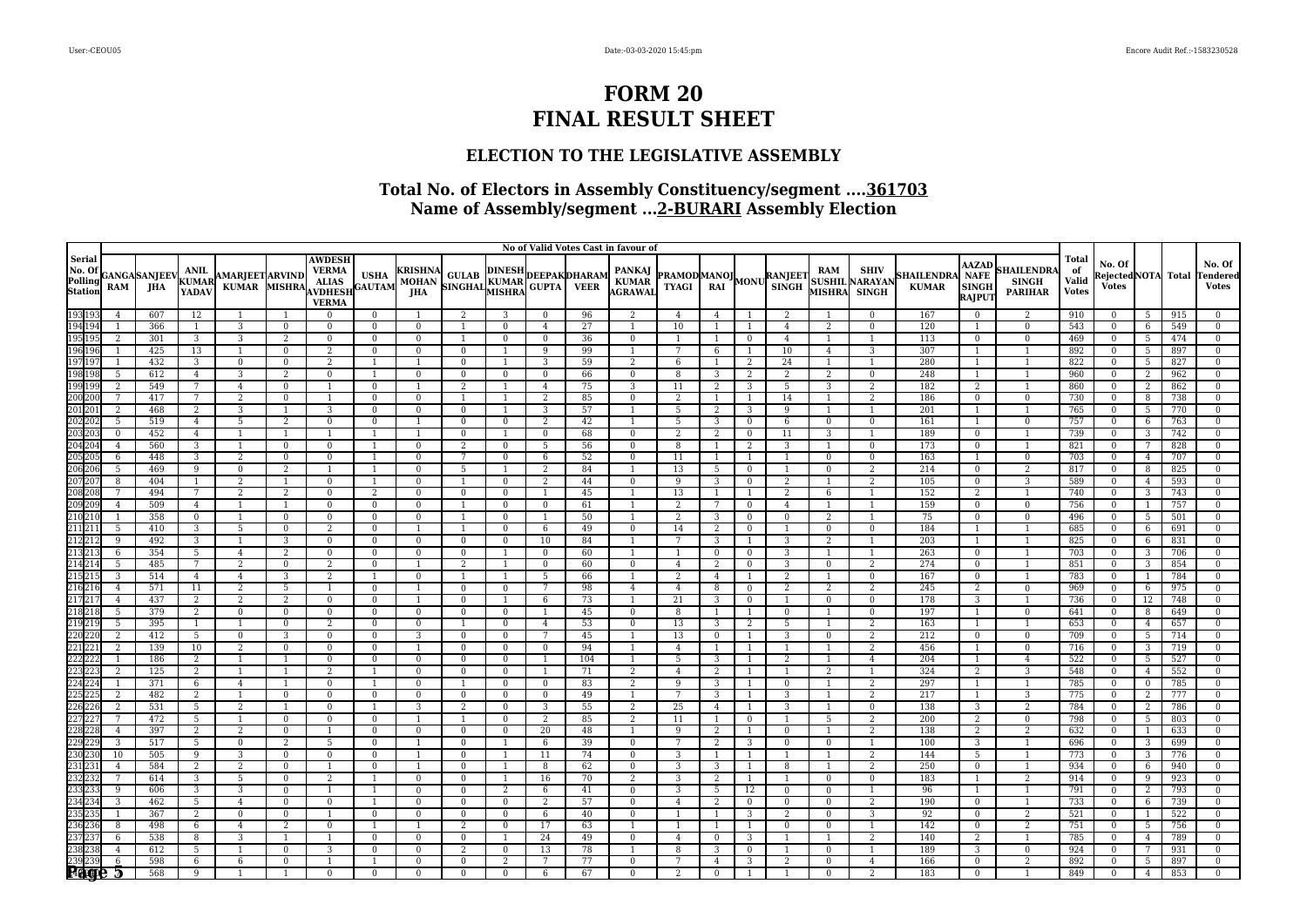### **ELECTION TO THE LEGISLATIVE ASSEMBLY**

|                                        |                |                             |                               |                                 |                                |                                                                                 |                                |                                              |                              |                |                 |                                                          | No of Valid Votes Cast in favour of |                                  |                      |                    |                   |                              |                                                      |                                   |                                                              |                                                   |                                             |                                              |                     |            |                                           |
|----------------------------------------|----------------|-----------------------------|-------------------------------|---------------------------------|--------------------------------|---------------------------------------------------------------------------------|--------------------------------|----------------------------------------------|------------------------------|----------------|-----------------|----------------------------------------------------------|-------------------------------------|----------------------------------|----------------------|--------------------|-------------------|------------------------------|------------------------------------------------------|-----------------------------------|--------------------------------------------------------------|---------------------------------------------------|---------------------------------------------|----------------------------------------------|---------------------|------------|-------------------------------------------|
| Serial<br>No. Of<br>Polling<br>Station | RAM            | <b>GANGA</b> SANJEEV<br>JHA | <b>ANIL</b><br>KUMAR<br>YADAV | AMARJEET ARVIND<br><b>KUMAR</b> | MISHRA                         | <b>AWDESH</b><br><b>VERMA</b><br><b>ALIAS</b><br><b>AVDHESE</b><br><b>VERMA</b> | $\bold{USHA}$<br><b>GAUTAM</b> | <b>KRISHNA</b><br><b>MOHAN</b><br><b>JHA</b> |                              |                |                 | A GULAB DINESH DEEPAK DHARAM<br>SINGHAL KUMAR GUPTA VEER | PANKAJ<br>KUMAR<br>AGRAWAI          | <b>PRAMOD MANOJ MONU RANJEET</b> |                      |                    |                   | RAM                          | <b>SHIV</b><br><b>SUSHIL NARAYAN</b><br>MISHRA SINGH | <b>SHAILENDRA</b><br><b>KUMAR</b> | <b>AAZAD</b><br><b>NAFE</b><br><b>SINGH</b><br><b>RAJPUT</b> | <b>HAILENDR</b><br><b>SINGH</b><br><b>PARIHAR</b> | <b>Total</b><br>of<br>Valid<br><b>Votes</b> | No. Of<br>RejectedNOTA Total<br><b>Votes</b> |                     |            | No. Of<br><b>Tendered</b><br><b>Votes</b> |
| 193 193<br>194 194                     | $\overline{4}$ | 607                         | 12                            |                                 |                                | $\Omega$                                                                        | $\bf{0}$                       |                                              | 2                            | 3              | $\overline{0}$  | 96                                                       | 2                                   | $\overline{4}$                   | $\overline{4}$       |                    | 2                 |                              | $\Omega$                                             | 167                               | $\mathbf{0}$                                                 | 2                                                 | 910                                         | $\Omega$                                     | 5                   | 915        | $\Omega$                                  |
|                                        |                | 366                         | 1                             | 3                               | $\Omega$                       | $\Omega$                                                                        | $\Omega$                       | $\bf{0}$                                     | $\overline{1}$               | $\Omega$       | $\overline{4}$  | 27                                                       |                                     | 10                               | $\overline{1}$       | $\overline{1}$     | $\overline{4}$    | 2                            | $\Omega$                                             | 120                               |                                                              | $\mathbf{0}$                                      | 543                                         | $\Omega$                                     | 6                   | 549        | $\Omega$                                  |
|                                        | $\overline{2}$ | 301                         | $\overline{3}$                | $\overline{3}$                  | $\overline{2}$                 | $\Omega$                                                                        | $\Omega$                       | $\mathbf{0}$                                 | $\overline{1}$               | $\mathbf{0}$   | $\mathbf{0}$    | 36                                                       | $\mathbf{0}$                        | 1                                | $\overline{1}$       | $\mathbf{0}$       | $\overline{4}$    | $\overline{1}$               | $\overline{1}$                                       | 113                               | $\mathbf{0}$                                                 | $\overline{0}$                                    | 469                                         | $\Omega$                                     | 5                   | 474        | $\mathbf{0}$                              |
|                                        | $\mathbf{1}$   | 425                         | 13                            | -1                              | $\mathbf{0}$                   | 2                                                                               | $\bf{0}$                       | $\mathbf{0}$                                 | $\mathbf{0}$                 | -1             | 9               | 99                                                       | 1                                   | 7                                | -6                   | -1                 | 10                | $\overline{4}$               | 3                                                    | 307                               | 1                                                            | $\overline{1}$                                    | 892                                         | $\Omega$                                     | 5                   | 897        | $\bf{0}$                                  |
|                                        |                | 432                         | 3                             | $\mathbf 0$                     | $\Omega$                       | 2                                                                               |                                |                                              | $\mathbf{0}$                 |                | 3               | 59                                                       | 2                                   | 6                                |                      | 2                  | 24                |                              | $\overline{1}$                                       | 280                               | 1                                                            | $\mathbf{1}$                                      | 822                                         |                                              | 5                   | 827        | $\Omega$                                  |
|                                        | 5              | 612                         | $\overline{4}$                | 3                               | 2                              | $\Omega$                                                                        |                                | $\mathbf{0}$                                 | $\mathbf{0}$                 | $\mathbf{0}$   | $\mathbf{0}$    | 66                                                       | $\overline{0}$                      | 8                                | 3                    | 2                  | 2                 | 2                            | $\overline{0}$                                       | 248                               | 1                                                            | $\overline{1}$                                    | 960                                         | $\Omega$                                     | 2                   | 962        | $\Omega$                                  |
|                                        | $\overline{2}$ | 549                         | $7\overline{ }$               | $\overline{4}$                  | $\overline{0}$                 |                                                                                 | $\overline{0}$                 | $\overline{1}$                               | 2                            | $\mathbf{1}$   | $\overline{4}$  | 75                                                       | 3                                   | 11                               | 2                    | 3                  | $5\overline{)}$   | 3                            | 2                                                    | 182                               | $\overline{2}$                                               | $\overline{1}$                                    | 860                                         | $\Omega$                                     | 2                   | 862        | $\mathbf{0}$                              |
|                                        | 7              | 417                         | 7                             | 2                               | $\mathbf{0}$                   |                                                                                 | $\mathbf{0}$                   | $\mathbf{0}$                                 | 1                            | 1              | 2               | 85                                                       | $\bf{0}$                            | 2                                | -1                   | 1                  | 14                | $\overline{1}$               | 2                                                    | 186                               | $\mathbf{0}$                                                 | $\overline{0}$                                    | 730                                         | $\mathbf{0}$                                 | 8                   | 738        | $\mathbf{0}$                              |
|                                        | 2              | 468                         | 2                             | 3                               |                                | 3                                                                               | $\bf{0}$                       | $\bf{0}$                                     | $\mathbf{0}$                 |                | 3               | 57                                                       |                                     | 5                                | 2                    | 3                  | 9                 |                              |                                                      | 201                               | $\overline{1}$                                               |                                                   | 765                                         | $\theta$                                     | 5                   | 770        | $\Omega$                                  |
|                                        | $\overline{5}$ | 519                         | $\overline{4}$                | 5                               | $\overline{2}$                 | $\Omega$                                                                        | $\Omega$                       |                                              | $\Omega$                     | $\Omega$       | 2               | 42                                                       |                                     | 5                                | 3                    | $\Omega$           | 6                 | $\Omega$                     | $\Omega$                                             | 161                               | $\overline{1}$                                               | $\Omega$                                          | 757                                         | $\Omega$                                     | 6                   | 763        | $\Omega$                                  |
|                                        | $\mathbf{0}$   | 452                         | $\overline{4}$                | 1                               | $\overline{1}$                 |                                                                                 |                                |                                              | $\bf{0}$                     | 1              | $\bf{0}$        | 68                                                       | $\bf{0}$                            | 2                                | 2                    | $\bf{0}$           | 11                | 3                            | -1                                                   | 189                               | $\mathbf{0}$                                                 | -1                                                | 739                                         | $\overline{0}$                               | 3                   | 742        | $\bf{0}$                                  |
|                                        | $\overline{4}$ | 560                         | 3                             | $\mathbf{1}$                    | $\Omega$                       | $\Omega$                                                                        |                                | $\Omega$                                     | 2                            | $\bf{0}$       | - 5             | 56                                                       | $\mathbf{0}$                        | 8                                | $\overline{1}$       | 2                  | 3                 | $\overline{1}$               | $\mathbf{0}$                                         | 173                               | $\mathbf{0}$                                                 | $\overline{1}$                                    | 821                                         | $\Omega$                                     |                     | 828        | $\bf{0}$                                  |
|                                        | 6<br>5         | 448<br>469                  | 3<br>9                        | 2<br>$\mathbf{0}$               | $\Omega$<br>2                  | $\Omega$                                                                        | -1                             | $\mathbf{0}$<br>$\Omega$                     | 7<br>5                       | $\Omega$<br>1  | 6<br>2          | 52<br>84                                                 | $\bf{0}$<br>1                       | 11<br>13                         | $\overline{1}$<br>-5 | $\overline{0}$     | 1                 | $\bf{0}$<br>$\mathbf{0}$     | $\mathbf{0}$<br>2                                    | 163<br>214                        | $\overline{1}$<br>$\mathbf{0}$                               | $\mathbf{0}$<br>$\overline{2}$                    | 703<br>817                                  | $\Omega$<br>$\Omega$                         | $\overline{4}$      | 707        | $\Omega$<br>$\Omega$                      |
|                                        | 8              | 404                         | 1                             | $\overline{2}$                  | $\mathbf{1}$                   | $\mathbf{0}$                                                                    | $\overline{1}$                 | $\mathbf{0}$                                 | $\overline{1}$               | $\mathbf{0}$   | 2               | 44                                                       | $\mathbf{0}$                        | 9                                | 3                    | $\mathbf{0}$       | 2                 | $\mathbf{1}$                 | 2                                                    | 105                               | $\mathbf{0}$                                                 | 3                                                 | 589                                         | $\overline{0}$                               | 8<br>$\overline{4}$ | 825<br>593 | $\mathbf{0}$                              |
|                                        | 7              | 494                         | $7\overline{ }$               | 2                               | 2                              | $\Omega$                                                                        | 2                              | $\bf{0}$                                     | $\overline{0}$               | $\mathbf{0}$   | -1              | 45                                                       | 1                                   | 13                               | -1                   | -1                 | 2                 | 6                            | -1                                                   | 152                               | $\overline{2}$                                               | 1                                                 | 740                                         | $\Omega$                                     | 3                   | 743        | $\bf{0}$                                  |
|                                        | $\overline{4}$ | 509                         | $\overline{4}$                |                                 |                                | $\Omega$                                                                        | $\mathbf{0}$                   | $\mathbf{0}$                                 | $\overline{1}$               | $\Omega$       | $\mathbf{0}$    | 61                                                       |                                     | $\overline{2}$                   | 7                    | $\mathbf{0}$       | $\overline{4}$    | $\overline{1}$               |                                                      | 159                               | $\mathbf{0}$                                                 | $\mathbf{0}$                                      | 756                                         | $\Omega$                                     |                     | 757        | $\Omega$                                  |
|                                        |                | 358                         | $\bf{0}$                      |                                 | $\Omega$                       | $\Omega$                                                                        | $\Omega$                       | $\mathbf{0}$                                 | $\overline{1}$               | $\Omega$       |                 | 50                                                       |                                     | 2                                | 3                    | $\mathbf{0}$       | $\bf{0}$          | 2                            | $\overline{1}$                                       | 75                                | $\mathbf{0}$                                                 | $\Omega$                                          | 496                                         | $\Omega$                                     | 5                   | 501        | $\Omega$                                  |
|                                        | 5              | 410                         | 3                             | 5                               | $\Omega$                       | 2                                                                               | $\Omega$                       | $\overline{1}$                               | $\overline{1}$               | $\mathbf{0}$   | 6               | 49                                                       | $\mathbf{0}$                        | 14                               | 2                    | $\mathbf{0}$       | $\mathbf{1}$      | $\mathbf{0}$                 | $\mathbf{0}$                                         | 184                               | 1                                                            | 1                                                 | 685                                         | $\Omega$                                     | 6                   | 691        | $\Omega$                                  |
|                                        | 9              | 492                         | 3                             | $\mathbf{1}$                    | 3                              | $\Omega$                                                                        | $\bf{0}$                       | $\bf{0}$                                     | $\mathbf{0}$                 | $\mathbf{0}$   | 10              | 84                                                       | 1                                   | 7                                | 3                    | $\overline{1}$     | 3                 | 2                            | $\overline{1}$                                       | 203                               | 1                                                            | $\overline{1}$                                    | 825                                         | $\bf{0}$                                     | 6                   | 831        | $\bf{0}$                                  |
|                                        | 6              | 354                         | 5                             | $\overline{4}$                  | 2                              | $\Omega$                                                                        | $\mathbf{0}$                   | $\mathbf{0}$                                 | $\mathbf{0}$                 |                | $\Omega$        | 60                                                       |                                     |                                  | $\bf{0}$             | $\mathbf{0}$       | 3                 |                              |                                                      | 263                               | $\mathbf{0}$                                                 |                                                   | 703                                         |                                              | 3                   | 706        | $\Omega$                                  |
|                                        | 5              | 485                         | $7\phantom{.0}$               | 2                               | $\Omega$                       | 2                                                                               | $\Omega$                       | $\overline{1}$                               | 2                            | $\mathbf{1}$   | $\Omega$        | 60                                                       | $\mathbf{0}$                        | $\overline{4}$                   | 2                    | $\Omega$           | 3                 | $\Omega$                     | 2                                                    | 274                               | $\Omega$                                                     | $\overline{1}$                                    | 851                                         | $\Omega$                                     | 3                   | 854        | $\Omega$                                  |
|                                        | $\overline{3}$ | 514                         | $\overline{4}$                | $\overline{4}$                  | 3                              | 2                                                                               | $\overline{1}$                 | $\mathbf{0}$                                 | $\overline{1}$               | $\mathbf{1}$   | 5               | 66                                                       | 1                                   | 2                                | $\overline{4}$       | $\overline{1}$     | 2                 | 1                            | $\mathbf{0}$                                         | 167                               | $\overline{0}$                                               | $\overline{1}$                                    | 783                                         | $\mathbf{0}$                                 |                     | 784        | $\mathbf{0}$                              |
|                                        | $\overline{4}$ | 571                         | 11                            | $\overline{2}$                  | 5                              |                                                                                 | $\bf{0}$                       | $\overline{1}$                               | $\mathbf{0}$                 | $\mathbf{0}$   | $7\overline{ }$ | 98                                                       | $\overline{4}$                      | $\overline{4}$                   | 8                    | $\overline{0}$     | 2                 | 2                            | 2                                                    | 245                               | $\overline{2}$                                               | $\mathbf{0}$                                      | 969                                         | $\Omega$                                     | 6                   | 975        | $\mathbf{0}$                              |
|                                        | $\overline{4}$ | 437                         | 2                             | 2                               | 2                              | $\Omega$                                                                        | $\bf{0}$                       |                                              | $\mathbf{0}$                 |                | 6               | 73                                                       |                                     | 21                               | 3                    | $\bf{0}$           |                   | $\bf{0}$                     | $\mathbf{0}$                                         | 178                               | 3                                                            |                                                   | 736                                         | $\Omega$                                     | 12                  | 748        | $\Omega$                                  |
|                                        | $\overline{5}$ | 379                         | $\overline{2}$                | $\Omega$                        | $\Omega$                       | $\Omega$                                                                        | $\mathbf{0}$                   | $\mathbf{0}$                                 | $\Omega$                     | $\Omega$       |                 | 45                                                       | $\mathbf{0}$                        | 8                                | $\overline{1}$       | 1                  | $\Omega$          |                              | $\Omega$                                             | 197                               | 1                                                            | $\Omega$                                          | 641                                         | $\Omega$                                     | 8                   | 649        | $\Omega$                                  |
|                                        | 5              | 395                         | 1                             | 1                               | $\mathbf{0}$                   | $\overline{2}$                                                                  | $\overline{0}$                 | $\bf{0}$                                     | $\overline{1}$               | $\bf{0}$       | $\overline{4}$  | 53                                                       | $\bf{0}$                            | 13                               | 3                    | 2                  | 5                 | $\overline{1}$               | 2                                                    | 163                               | 1                                                            | -1                                                | 653                                         | $\overline{0}$                               | $\overline{4}$      | 657        | $\bf{0}$                                  |
|                                        | 2              | 412                         | $5\overline{)}$               | $\mathbf 0$                     | 3                              | $\Omega$                                                                        | $\bf{0}$                       | 3                                            | $\mathbf{0}$                 | $\mathbf{0}$   | 7               | 45                                                       | -1                                  | 13                               | $\overline{0}$       | $\overline{1}$     | 3                 | $\mathbf{0}$                 | 2                                                    | 212                               | $\bf{0}$                                                     | $\bf{0}$                                          | 709                                         | $\mathbf{0}$                                 | -5                  | 714        | $\bf{0}$                                  |
|                                        |                | 139                         | 10                            | $\overline{2}$                  | $\Omega$                       | $\Omega$                                                                        | $\mathbf{0}$                   |                                              | $\Omega$                     | $\Omega$       | $\Omega$        | 94                                                       | $\mathbf{1}$                        | $\overline{4}$                   |                      |                    |                   |                              | $\overline{2}$                                       | 456                               | $\mathbf{1}$                                                 | $\mathbf{0}$                                      | 716                                         | $\Omega$                                     | 3                   | 719        | $\Omega$                                  |
|                                        | $\mathbf{1}$   | 186                         | 2                             | -1                              | -1                             | $\Omega$                                                                        | $\Omega$                       | $\bf{0}$                                     | $\mathbf{0}$                 | $\mathbf{0}$   | -1              | 104                                                      | 1                                   | 5                                | 3                    | -1                 | 2                 | $\overline{1}$               | $\overline{4}$                                       | 204                               | 1                                                            | $\overline{4}$                                    | 522                                         | $\Omega$                                     | 5                   | 527        | $\Omega$                                  |
|                                        | $\overline{2}$ | 125                         | 2                             | $\mathbf{1}$                    |                                | $\overline{2}$                                                                  |                                | $\Omega$                                     | $\mathbf{0}$                 | $\mathbf{0}$   | $\overline{1}$  | 71                                                       | 2                                   | $\overline{4}$                   | 2                    | $\overline{1}$     |                   | 2                            | $\overline{1}$                                       | 324                               | $\overline{2}$                                               | 3                                                 | 548                                         | $\Omega$                                     | $\overline{4}$      | 552        | $\Omega$                                  |
|                                        | $\mathbf{1}$   | 371                         | 6                             | 4                               | 1                              | $\Omega$                                                                        |                                | $\bf{0}$                                     | 1                            | $\mathbf{0}$   | $\bf{0}$        | 83                                                       | 2                                   | 9                                | 3                    | -1                 | $\bf{0}$          | -1                           | 2                                                    | 297                               | 1                                                            | -1                                                | 785                                         | $\mathbf{0}$                                 | $\bf{0}$            | 785        | $\bf{0}$                                  |
|                                        | $\overline{2}$ | 482                         | 2                             |                                 | $\Omega$                       | $\Omega$                                                                        | $\mathbf{0}$                   | $\Omega$                                     | $\mathbf{0}$                 | $\Omega$       | $\mathbf{0}$    | 49                                                       |                                     | 7                                | 3                    |                    | 3                 |                              | 2                                                    | 217                               | $\overline{1}$                                               | 3                                                 | 775                                         | $\Omega$                                     | 2                   | 777        | $\Omega$                                  |
|                                        | $\overline{2}$ | 531                         | 5                             | 2                               |                                | $\theta$                                                                        |                                | 3                                            | 2                            | $\Omega$       | 3               | 55                                                       | 2                                   | 25                               | $\overline{4}$       | -1                 | 3                 |                              | $\Omega$                                             | 138                               | 3                                                            | $\overline{2}$                                    | 784                                         |                                              | 2                   | 786        | $\Omega$                                  |
|                                        | 7              | 472                         | 5                             | 1                               | $\Omega$                       | $\Omega$                                                                        | $\overline{0}$                 |                                              | $\overline{1}$               | $\bf{0}$       | 2               | 85                                                       | 2                                   | 11                               | $\overline{1}$       | $\bf{0}$           |                   | 5                            | 2                                                    | 200                               | $\overline{2}$                                               | $\bf{0}$                                          | 798                                         | $\Omega$                                     | 5                   | 803        | $\mathbf{0}$                              |
|                                        | $\overline{4}$ | 397                         | $\overline{2}$                | $\overline{2}$                  | $\Omega$                       |                                                                                 | $\mathbf{0}$                   | $\mathbf{0}$                                 | $\Omega$                     | $\Omega$       | 20              | 48                                                       | $\overline{1}$                      | 9                                | 2                    | $\overline{1}$     | $\mathbf{0}$      | $\overline{1}$               | 2                                                    | 138                               | $\overline{2}$                                               | $\overline{2}$                                    | 632                                         | $\Omega$                                     |                     | 633        | $\bf{0}$                                  |
|                                        | 3              | 517                         | 5                             | $\bf{0}$                        | 2                              | 5                                                                               | $\Omega$                       |                                              | $\mathbf{0}$                 |                | 6               | 39                                                       | $\bf{0}$                            |                                  | 2                    | 3                  | $\mathbf{0}$      | $\bf{0}$                     |                                                      | 100                               | 3                                                            |                                                   | 696                                         |                                              | 3                   | 699        | $\Omega$                                  |
|                                        | 10             | 505                         | 9                             | 3                               | $\Omega$                       | $\Omega$                                                                        | $\mathbf{0}$                   | $\overline{1}$                               | $\Omega$                     | $\overline{1}$ | 11              | 74                                                       | $\mathbf{0}$                        | 3                                | $\overline{1}$       | $\overline{1}$     | $\mathbf{1}$      | $\overline{1}$               | $\overline{2}$                                       | 144                               | 5 <sup>5</sup>                                               | $\overline{1}$                                    | 773                                         | $\Omega$                                     | 3                   | 776        | $\Omega$                                  |
|                                        | $\overline{4}$ | 584                         | $\overline{2}$                | 2                               | $\mathbf{0}$                   |                                                                                 | $\overline{0}$                 | 1                                            | $\bf{0}$                     | $\overline{1}$ | 8               | 62                                                       | $\bf{0}$                            | 3                                | 3                    | 1                  | 8                 | $\mathbf{1}$                 | 2                                                    | 250                               | $\overline{0}$                                               | 1                                                 | 934                                         | $\mathbf{0}$                                 | 6                   | 940        | $\mathbf{0}$                              |
|                                        | 7<br>9         | 614                         | 3                             | 5<br>3                          | $\overline{0}$<br>$\mathbf{0}$ | 2                                                                               |                                | $\mathbf{0}$<br>$\mathbf{0}$                 | $\mathbf{0}$<br>$\mathbf{0}$ | 1              | 16              | 70                                                       | 2                                   | 3<br>3                           | 2                    | -1                 | 1<br>$\mathbf{0}$ | $\mathbf{0}$<br>$\mathbf{0}$ | $\mathbf{0}$<br>$\mathbf{1}$                         | 183                               | 1<br>$\overline{1}$                                          | 2                                                 | 914                                         | $\mathbf{0}$<br>$\theta$                     | 9                   | 923        | $\bf{0}$<br>$\Omega$                      |
|                                        | 3              | 606<br>462                  | 3<br>$\overline{5}$           | 4                               | $\Omega$                       | $\Omega$                                                                        |                                | $\mathbf{0}$                                 | $\mathbf{0}$                 | 2<br>$\Omega$  | 6<br>2          | 41<br>57                                                 | $\bf{0}$<br>$\mathbf{0}$            | 4                                | -5<br>2              | 12<br>$\mathbf{0}$ | $\Omega$          | $\mathbf{0}$                 | 2                                                    | 96<br>190                         | $\mathbf{0}$                                                 |                                                   | 791<br>733                                  | $\Omega$                                     | 2<br>6              | 793<br>739 | $\Omega$                                  |
|                                        |                | 367                         | $\overline{2}$                | $\overline{0}$                  | $\Omega$                       |                                                                                 | $\Omega$                       | $\mathbf{0}$                                 | $\mathbf{0}$                 | $\mathbf{0}$   | 6               | 40                                                       | $\mathbf{0}$                        | 1                                | $\overline{1}$       | 3                  | $\overline{2}$    | $\mathbf{0}$                 | 3                                                    | 92                                | $\mathbf{0}$                                                 | $\overline{2}$                                    | 521                                         | $\Omega$                                     |                     | 522        | $\Omega$                                  |
|                                        | 8              | 498                         | 6                             | $\overline{4}$                  | 2                              | $\Omega$                                                                        |                                | -1                                           | 2                            | $\mathbf{0}$   | 17              | 63                                                       | 1                                   |                                  | -1                   | $\overline{1}$     | $\mathbf{0}$      | $\mathbf{0}$                 | $\overline{1}$                                       | 142                               | $\mathbf{0}$                                                 | 2                                                 | 751                                         | $\mathbf{0}$                                 | 5                   | 756        | $\bf{0}$                                  |
|                                        | 6              | 538                         | $\overline{8}$                | 3                               |                                |                                                                                 | $\mathbf{0}$                   | $\mathbf{0}$                                 | $\mathbf{0}$                 |                | 24              | 49                                                       | $\mathbf{0}$                        | $\overline{4}$                   | $\overline{0}$       | 3                  |                   | $\overline{1}$               | 2                                                    | 140                               | $\overline{2}$                                               | $\overline{1}$                                    | 785                                         | $\Omega$                                     | $\overline{4}$      | 789        | $\Omega$                                  |
|                                        | $\overline{4}$ | 612                         | 5                             |                                 | $\Omega$                       | 3                                                                               | $\Omega$                       | $\bf{0}$                                     | 2                            | $\Omega$       | 13              | 78                                                       |                                     | 8                                | 3                    | $\mathbf{0}$       | 1                 | $\mathbf{0}$                 | $\overline{1}$                                       | 189                               | 3                                                            | $\mathbf{0}$                                      | 924                                         |                                              |                     | 931        | $\Omega$                                  |
|                                        | 6              | 598                         | 6                             | 6                               | $\Omega$                       |                                                                                 |                                | $\Omega$                                     | $\mathbf{0}$                 | $\overline{2}$ | 7               | 77                                                       | $\mathbf{0}$                        | 7                                | $\overline{4}$       | 3                  | $\overline{2}$    | $\mathbf{0}$                 | $\overline{4}$                                       | 166                               | $\mathbf{0}$                                                 | $\overline{2}$                                    | 892                                         | $\theta$                                     | .5                  | 897        | $\Omega$                                  |
|                                        | Ы              | 568                         | 9                             |                                 |                                | $\Omega$                                                                        | $\mathbf{0}$                   | $\mathbf{0}$                                 | $\mathbf{0}$                 | $\overline{0}$ | 6               | 67                                                       | $\mathbf{0}$                        | 2                                | $\mathbf{0}$         |                    |                   | $\Omega$                     | 2                                                    | 183                               | $\mathbf{0}$                                                 | $\mathbf{1}$                                      | 849                                         | $\Omega$                                     | $\overline{4}$      | 853        | $\mathbf{0}$                              |
|                                        |                |                             |                               |                                 |                                |                                                                                 |                                |                                              |                              |                |                 |                                                          |                                     |                                  |                      |                    |                   |                              |                                                      |                                   |                                                              |                                                   |                                             |                                              |                     |            |                                           |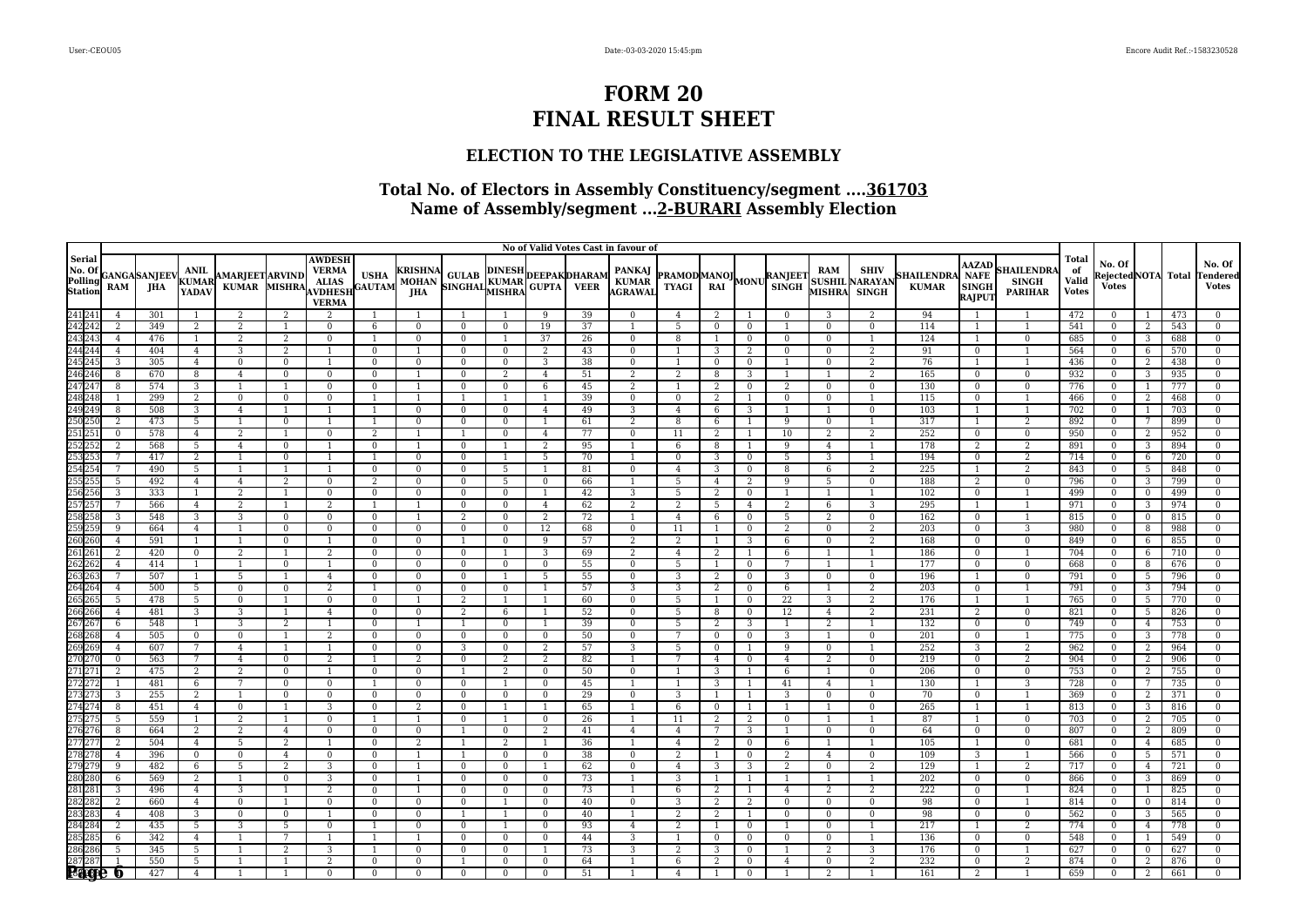### **ELECTION TO THE LEGISLATIVE ASSEMBLY**

|                                        |     |                             |                               |                                 |                |                                                                                 |                         |                                              |                              |                |                   |                                                          | No of Valid Votes Cast in favour of |                                  |                 |                                |                |                |                                                      |                                   |                                                              |                                                   |                                             |                                              |                |            |                                           |
|----------------------------------------|-----|-----------------------------|-------------------------------|---------------------------------|----------------|---------------------------------------------------------------------------------|-------------------------|----------------------------------------------|------------------------------|----------------|-------------------|----------------------------------------------------------|-------------------------------------|----------------------------------|-----------------|--------------------------------|----------------|----------------|------------------------------------------------------|-----------------------------------|--------------------------------------------------------------|---------------------------------------------------|---------------------------------------------|----------------------------------------------|----------------|------------|-------------------------------------------|
| Serial<br>No. Of<br>Polling<br>Station | RAM | <b>GANGA</b> SANJEEV<br>JHA | <b>ANIL</b><br>KUMAR<br>YADAV | AMARJEET ARVIND<br><b>KUMAR</b> | MISHRA         | <b>AWDESH</b><br><b>VERMA</b><br><b>ALIAS</b><br><b>AVDHESE</b><br><b>VERMA</b> | $\bold{USHA}$<br>GAUTAM | <b>KRISHNA</b><br><b>MOHAN</b><br><b>JHA</b> |                              |                |                   | A GULAB DINESH DEEPAK DHARAM<br>SINGHAL KUMAR GUPTA VEER | PANKAJ<br>KUMAR<br>AGRAWAI          | <b>PRAMOD MANOJ MONU RANJEET</b> |                 |                                |                | RAM            | <b>SHIV</b><br><b>SUSHIL NARAYAN</b><br>MISHRA SINGH | <b>SHAILENDRA</b><br><b>KUMAR</b> | <b>AAZAD</b><br><b>NAFE</b><br><b>SINGH</b><br><b>RAJPUT</b> | <b>HAILENDR</b><br><b>SINGH</b><br><b>PARIHAR</b> | <b>Total</b><br>of<br>Valid<br><b>Votes</b> | No. Of<br>RejectedNOTA Total<br><b>Votes</b> |                |            | No. Of<br><b>Fendered</b><br><b>Votes</b> |
|                                        |     | 301                         |                               | 2                               | $\overline{2}$ |                                                                                 |                         |                                              |                              |                | 9                 | 39                                                       | $\mathbf{0}$                        | $\overline{4}$                   | 2               |                                | $\Omega$       | 3              | 2                                                    | 94                                |                                                              |                                                   | 472                                         | $\Omega$                                     |                | 473        | $\Omega$                                  |
|                                        |     | 349                         | 2                             | 2                               |                | $\Omega$                                                                        | 6                       | $\bf{0}$                                     | $\mathbf{0}$                 | $\Omega$       | 19                | 37                                                       |                                     | 5                                | $\overline{0}$  | $\mathbf{0}$                   |                | $\mathbf{0}$   | $\mathbf{0}$                                         | 114                               |                                                              |                                                   | 541                                         | $\Omega$                                     | 2              | 543        | $\Omega$                                  |
|                                        |     | 476                         | 1                             | 2                               | 2              | $\Omega$                                                                        |                         | $\mathbf{0}$                                 | $\mathbf{0}$                 | $\mathbf{1}$   | 37                | 26                                                       | $\overline{0}$                      | 8                                | $\overline{1}$  | $\mathbf{0}$                   | $\Omega$       | $\mathbf{0}$   | $\overline{1}$                                       | 124                               | $\mathbf{1}$                                                 | $\overline{0}$                                    | 685                                         | $\Omega$                                     | 3              | 688        | $\mathbf{0}$                              |
|                                        |     | 404                         | $\overline{4}$                | 3                               | 2              |                                                                                 | $\bf{0}$                | -1                                           | $\mathbf{0}$                 | $\bf{0}$       | 2                 | 43                                                       | $\bf{0}$                            | -1                               | 3               | 2                              | $\mathbf{0}$   | $\mathbf{0}$   | 2                                                    | 91                                | $\mathbf{0}$                                                 | $\overline{1}$                                    | 564                                         | $\bf{0}$                                     | 6              | 570        | $\bf{0}$                                  |
|                                        |     | 305                         | $\overline{4}$                | $\mathbf 0$                     | $\Omega$       |                                                                                 | $\mathbf{0}$            | $\bf{0}$                                     | $\mathbf{0}$                 | $\Omega$       | 3                 | 38                                                       | $\bf{0}$                            |                                  | $\bf{0}$        | $\mathbf{0}$                   |                | $\mathbf{0}$   | 2                                                    | 76                                | $\mathbf{1}$                                                 | $\mathbf{1}$                                      | 436                                         |                                              | 2              | 438        | $\Omega$                                  |
|                                        |     | 670                         | 8                             | $\overline{4}$                  | $\Omega$       | $\Omega$                                                                        | $\mathbf{0}$            | -1                                           | $\mathbf{0}$                 | $\overline{2}$ | 4                 | 51                                                       | 2                                   | 2                                | 8               | 3                              | 1              | $\overline{1}$ | 2                                                    | 165                               | $\mathbf{0}$                                                 | $\Omega$                                          | 932                                         | $\Omega$                                     | 3              | 935        | $\Omega$                                  |
|                                        |     | 574                         | 3                             | $\mathbf{1}$                    | 1              | $\Omega$                                                                        | $\overline{0}$          | $\overline{1}$                               | $\mathbf{0}$                 | $\bf{0}$       | 6                 | 45                                                       | 2                                   | $\mathbf{1}$                     | 2               | $\bf{0}$                       | 2              | $\bf{0}$       | $\mathbf{0}$                                         | 130                               | $\overline{0}$                                               | $\mathbf{0}$                                      | 776                                         | $\mathbf{0}$                                 |                | 777        | $\mathbf{0}$                              |
|                                        |     | 299                         | 2                             | $\mathbf{0}$                    | $\mathbf{0}$   | $\Omega$                                                                        |                         | $\overline{1}$                               | $\overline{1}$               | 1              | -1                | 39                                                       | $\bf{0}$                            | $\bf{0}$                         | 2               | 1                              | $\mathbf{0}$   | $\mathbf{0}$   | 1                                                    | 115                               | $\mathbf{0}$                                                 | 1                                                 | 466                                         | $\mathbf{0}$                                 | 2              | 468        | $\mathbf{0}$                              |
|                                        |     | 508                         | 3                             | $\overline{4}$                  |                |                                                                                 |                         | $\mathbf{0}$                                 | $\mathbf{0}$                 | $\Omega$       | $\overline{4}$    | 49                                                       | 3                                   | $\overline{4}$                   | -6              | 3                              |                |                | $\overline{0}$                                       | 103                               |                                                              |                                                   | 702                                         | $\theta$                                     |                | 703        | $\Omega$                                  |
|                                        |     | 473                         | 5                             |                                 | $\Omega$       |                                                                                 |                         | $\Omega$                                     | $\Omega$                     | $\Omega$       | 1                 | 61                                                       | $\overline{2}$                      | 8                                | $6\phantom{1}6$ | $\overline{1}$                 | 9              | $\Omega$       | $\mathbf{1}$                                         | 317                               | $\mathbf{1}$                                                 | $\overline{2}$                                    | 892                                         | $\Omega$                                     | 7              | 899        | $\Omega$                                  |
|                                        |     | 578                         | $\overline{4}$                | 2                               |                | $\Omega$                                                                        | 2                       |                                              | $\overline{1}$               | $\bf{0}$       | $\overline{4}$    | 77                                                       | $\bf{0}$                            | 11                               | 2               | -1                             | 10             | 2              | 2                                                    | 252                               | $\mathbf{0}$                                                 | $\bf{0}$                                          | 950                                         | $\overline{0}$                               | 2              | 952        | $\bf{0}$                                  |
|                                        |     | 568                         | $5\overline{)}$               | $\overline{4}$                  | $\Omega$       |                                                                                 | $\overline{0}$          | -1                                           | $\Omega$                     | -1             | 2                 | 95                                                       | -1                                  | 6                                | 8               | -1                             | 9              | $\overline{4}$ | $\overline{1}$                                       | 178                               | 2                                                            | 2                                                 | 891                                         | $\Omega$                                     | -3             | 894        | $\bf{0}$                                  |
|                                        |     | 417<br>490                  | 2<br>$\overline{5}$           | 1                               | $\Omega$<br>1  |                                                                                 |                         | $\mathbf{0}$<br>$\mathbf{0}$                 | $\mathbf{0}$<br>$\mathbf{0}$ | 5              | 5                 | 70<br>81                                                 | $\bf{0}$                            | $\Omega$<br>$\overline{4}$       | 3<br>3          | $\mathbf{0}$<br>$\overline{0}$ | 5<br>8         | 3<br>6         | $\overline{1}$<br>2                                  | 194<br>225                        | $\mathbf{0}$<br>1                                            | 2<br>$\overline{2}$                               | 714<br>843                                  | $\Omega$<br>$\Omega$                         | 6<br>5         | 720        | $\Omega$<br>$\Omega$                      |
|                                        |     | 492                         | $\overline{4}$                | $\overline{4}$                  | 2              | $\mathbf{0}$                                                                    | $\mathbf{0}$<br>2       | $\mathbf{0}$                                 | $\mathbf{0}$                 | 5              | 1<br>$\mathbf{0}$ | 66                                                       | 1                                   | 5                                | $\overline{4}$  | 2                              | 9              | 5              | $\mathbf{0}$                                         | 188                               | $\overline{2}$                                               | $\mathbf{0}$                                      | 796                                         | $\overline{0}$                               | 3              | 848<br>799 | $\mathbf{0}$                              |
|                                        |     | 333                         | 1                             | 2                               | 1              | $\Omega$                                                                        | $\bf{0}$                | $\bf{0}$                                     | $\mathbf{0}$                 | $\mathbf{0}$   | 1                 | 42                                                       | 3                                   | 5                                | 2               | $\overline{0}$                 | 1              | $\overline{1}$ | -1                                                   | 102                               | $\overline{0}$                                               | 1                                                 | 499                                         | $\Omega$                                     | $\bf{0}$       | 499        | $\bf{0}$                                  |
|                                        |     | 566                         | $\overline{4}$                | 2                               |                | $\overline{2}$                                                                  |                         |                                              | $\mathbf{0}$                 | $\Omega$       | $\overline{4}$    | 62                                                       | 2                                   | $\overline{2}$                   | -5              | $\overline{4}$                 | $\overline{2}$ | 6              | 3                                                    | 295                               | $\overline{1}$                                               |                                                   | 971                                         | $\Omega$                                     | 3              | 974        | $\Omega$                                  |
|                                        |     | 548                         | 3                             | 3                               | $\Omega$       | $\Omega$                                                                        | $\Omega$                |                                              | 2                            | $\Omega$       | 2                 | 72                                                       |                                     | $\overline{4}$                   | 6               | $\overline{0}$                 | 5              | 2              | $\Omega$                                             | 162                               | $\mathbf{0}$                                                 |                                                   | 815                                         | $\Omega$                                     | $\mathbf{0}$   | 815        | $\Omega$                                  |
|                                        |     | 664                         | $\overline{4}$                | 1                               | $\Omega$       | $\Omega$                                                                        | $\Omega$                | $\mathbf{0}$                                 | $\mathbf{0}$                 | $\mathbf{0}$   | 12                | 68                                                       | $\mathbf{0}$                        | 11                               | $\overline{1}$  | $\mathbf{0}$                   | 2              | $\mathbf{0}$   | 2                                                    | 203                               | $\mathbf{0}$                                                 | 3                                                 | 980                                         | $\Omega$                                     | 8              | 988        | $\Omega$                                  |
|                                        |     | 591                         | 1                             | $\mathbf{1}$                    | $\mathbf{0}$   |                                                                                 | $\bf{0}$                | $\mathbf{0}$                                 | -1                           | $\mathbf{0}$   | 9                 | 57                                                       | 2                                   | $\overline{a}$                   | $\overline{1}$  | 3                              | 6              | $\bf{0}$       | 2                                                    | 168                               | $\bf{0}$                                                     | $\bf{0}$                                          | 849                                         | $\overline{0}$                               | 6              | 855        | $\bf{0}$                                  |
|                                        |     | 420                         | $\bf{0}$                      | 2                               |                | 2                                                                               | $\mathbf{0}$            | $\bf{0}$                                     | $\mathbf{0}$                 |                | 3                 | 69                                                       | 2                                   | $\overline{4}$                   | $\overline{2}$  |                                | 6              |                |                                                      | 186                               | $\mathbf{0}$                                                 |                                                   | 704                                         |                                              | 6              | 710        | $\Omega$                                  |
|                                        |     | 414                         | $\mathbf{1}$                  | $\overline{1}$                  | $\Omega$       |                                                                                 | $\Omega$                | $\mathbf{0}$                                 | $\Omega$                     | $\mathbf{0}$   | $\Omega$          | 55                                                       | $\mathbf{0}$                        | 5                                | $\overline{1}$  | $\Omega$                       | 7              | $\overline{1}$ | $\overline{1}$                                       | 177                               | $\Omega$                                                     | $\mathbf{0}$                                      | 668                                         | $\Omega$                                     | 8              | 676        | $\Omega$                                  |
|                                        |     | 507                         | $\mathbf{1}$                  | 5                               | 1              | $\overline{4}$                                                                  | $\overline{0}$          | $\bf{0}$                                     | $\bf{0}$                     | $\mathbf{1}$   | 5                 | 55                                                       | $\bf{0}$                            | 3                                | 2               | $\bf{0}$                       | 3              | $\bf{0}$       | $\mathbf{0}$                                         | 196                               | 1                                                            | $\mathbf{0}$                                      | 791                                         | $\mathbf{0}$                                 | 5              | 796        | $\mathbf{0}$                              |
|                                        |     | 500                         | 5                             | $\mathbf{0}$                    | $\overline{0}$ | 2                                                                               |                         | $\bf{0}$                                     | $\mathbf{0}$                 | $\overline{0}$ | -1                | 57                                                       | 3                                   | 3                                | 2               | $\mathbf{0}$                   | 6              | $\overline{1}$ | 2                                                    | 203                               | $\mathbf{0}$                                                 | $\overline{1}$                                    | 791                                         | $\Omega$                                     | 3              | 794        | $\mathbf{0}$                              |
|                                        |     | 478                         | 5                             | $\mathbf 0$                     |                | $\Omega$                                                                        | $\bf{0}$                |                                              | 2                            |                |                   | 60                                                       | $\bf{0}$                            | 5                                |                 | $\bf{0}$                       | 22             | 3              | 2                                                    | 176                               | $\overline{1}$                                               |                                                   | 765                                         | $\Omega$                                     | 5              | 770        | $\Omega$                                  |
|                                        |     | 481                         | $\overline{3}$                | 3                               |                | $\overline{4}$                                                                  | $\mathbf{0}$            | $\Omega$                                     | 2                            | 6              | -1                | 52                                                       | $\mathbf{0}$                        | 5                                | 8               | $\Omega$                       | 12             | $\overline{4}$ | $\overline{2}$                                       | 231                               | $\overline{a}$                                               | $\Omega$                                          | 821                                         | $\Omega$                                     | 5              | 826        | $\Omega$                                  |
|                                        |     | 548                         | 1                             | 3                               | 2              |                                                                                 | $\overline{0}$          | 1                                            | $\overline{1}$               | $\bf{0}$       | $\overline{1}$    | 39                                                       | $\bf{0}$                            | 5                                | -2              | 3                              | 1              | 2              | -1                                                   | 132                               | $\mathbf{0}$                                                 | $\bf{0}$                                          | 749                                         | $\overline{0}$                               | $\overline{4}$ | 753        | $\bf{0}$                                  |
|                                        |     | 505                         | $\bf{0}$                      | $\overline{0}$                  |                | 2                                                                               | $\mathbf{0}$            | $\overline{0}$                               | $\mathbf{0}$                 | $\mathbf{0}$   | $\bf{0}$          | 50                                                       | $\bf{0}$                            | 7                                | $\overline{0}$  | $\mathbf{0}$                   | 3              | $\overline{1}$ | $\overline{0}$                                       | 201                               | $\bf{0}$                                                     | $\overline{1}$                                    | 775                                         | $\mathbf{0}$                                 | -3             | 778        | $\bf{0}$                                  |
|                                        |     | 607                         | $\overline{7}$                | $\overline{4}$                  |                |                                                                                 | $\Omega$                | $\mathbf{0}$                                 | 3                            | $\Omega$       | 2                 | 57                                                       | 3                                   | 5                                | $\mathbf{0}$    |                                | 9              | $\mathbf{0}$   | $\overline{1}$                                       | 252                               | 3                                                            | $\overline{2}$                                    | 962                                         | $\Omega$                                     | 2              | 964        | $\Omega$                                  |
|                                        |     | 563                         | $7\phantom{.0}$               | $\overline{4}$                  | $\Omega$       | 2                                                                               |                         | 2                                            | $\mathbf{0}$                 | $\overline{2}$ | 2                 | 82                                                       | 1                                   | 7                                | $\overline{4}$  | $\overline{0}$                 | $\overline{4}$ | 2              | $\mathbf{0}$                                         | 219                               | $\mathbf{0}$                                                 | 2                                                 | 904                                         | $\Omega$                                     | 2              | 906        | $\Omega$                                  |
|                                        |     | 475                         | $\overline{2}$                | 2                               | $\Omega$       |                                                                                 | $\Omega$                | $\mathbf{0}$                                 | $\overline{1}$               | 2              | $\mathbf{0}$      | 50                                                       | $\bf{0}$                            |                                  | $\overline{3}$  | $\overline{1}$                 | 6              | $\mathbf{1}$   | $\mathbf{0}$                                         | 206                               | $\mathbf{0}$                                                 | $\mathbf{0}$                                      | 753                                         | $\Omega$                                     | 2              | 755        | $\Omega$                                  |
|                                        |     | 481                         | 6                             | $7\phantom{.0}$                 | $\overline{0}$ | $\Omega$                                                                        |                         | $\bf{0}$                                     | $\overline{0}$               | 1              | $\bf{0}$          | 45                                                       | 1                                   | $\overline{1}$                   | 3               | -1                             | 41             | $\overline{4}$ | -1                                                   | 130                               | -1                                                           | 3                                                 | 728                                         | $\mathbf{0}$                                 | 7              | 735        | $\bf{0}$                                  |
|                                        |     | 255                         | 2                             |                                 | $\Omega$       | $\Omega$                                                                        | $\mathbf{0}$            | $\Omega$                                     | $\mathbf{0}$                 | $\Omega$       | $\Omega$          | 29                                                       | $\bf{0}$                            | 3                                |                 |                                | 3              | $\mathbf{0}$   | $\Omega$                                             | 70                                | $\mathbf{0}$                                                 |                                                   | 369                                         | $\Omega$                                     | 2              | 371        | $\Omega$                                  |
|                                        |     | 451                         | $\overline{4}$                | $\mathbf{0}$                    |                | 3                                                                               | $\Omega$                | $\overline{2}$                               | $\mathbf{0}$                 |                |                   | 65                                                       |                                     | 6                                | $\overline{0}$  | 1                              |                |                | $\Omega$                                             | 265                               | $\mathbf{1}$                                                 |                                                   | 813                                         |                                              | 3              | 816        | $\Omega$                                  |
|                                        |     | 559                         | 1                             | 2                               | $\mathbf{1}$   | $\Omega$                                                                        |                         | $\overline{1}$                               | $\bf{0}$                     | $\mathbf{1}$   | $\bf{0}$          | 26                                                       | 1                                   | 11                               | -2              | 2                              | $\bf{0}$       | $\overline{1}$ | $\overline{1}$                                       | 87                                | 1                                                            | $\bf{0}$                                          | 703                                         | $\Omega$                                     | 2              | 705        | $\mathbf{0}$                              |
|                                        |     | 664                         | 2                             | $\overline{2}$                  | $\overline{4}$ | $\Omega$                                                                        | $\mathbf{0}$            | $\bf{0}$                                     | $\overline{1}$               | $\mathbf{0}$   | 2                 | 41                                                       | $\overline{4}$                      | $\overline{4}$                   | 7               | 3                              | $\mathbf{1}$   | $\mathbf{0}$   | $\mathbf{0}$                                         | 64                                | $\mathbf{0}$                                                 | $\mathbf{0}$                                      | 807                                         | $\Omega$                                     | 2              | 809        | $\bf{0}$                                  |
|                                        |     | 504                         | $\overline{4}$                | 5                               | 2              |                                                                                 | $\mathbf{0}$            | 2                                            |                              | 2              |                   | 36                                                       |                                     | $\overline{4}$                   | 2               | $\mathbf{0}$                   | 6              |                |                                                      | 105                               |                                                              | $\mathbf{0}$                                      | 681                                         |                                              | $\overline{4}$ | 685        | $\Omega$                                  |
|                                        |     | 396                         | $\Omega$                      | $\mathbf{0}$                    | 4              | $\Omega$                                                                        | $\mathbf{0}$            | $\overline{1}$                               | $\overline{1}$               | $\mathbf{0}$   | $\Omega$          | 38                                                       | $\mathbf{0}$                        | $\overline{2}$                   | $\overline{1}$  | $\Omega$                       | $\overline{2}$ | $\overline{4}$ | $\Omega$                                             | 109                               | $\overline{3}$                                               | $\overline{1}$                                    | 566                                         | $\Omega$                                     | $\overline{5}$ | 571        | $\Omega$                                  |
|                                        |     | 482                         | 6                             | 5                               | 2              | 3                                                                               | $\overline{0}$          | 1                                            | $\bf{0}$                     | $\mathbf{0}$   | -1                | 62                                                       | $\bf{0}$                            | $\overline{4}$                   | 3               | 3                              | 2              | $\bf{0}$       | 2                                                    | 129                               | $\mathbf{1}$                                                 | 2                                                 | 717                                         | $\mathbf{0}$                                 | $\overline{4}$ | 721        | $\mathbf{0}$                              |
|                                        |     | 569                         | $\overline{2}$                | $\mathbf{1}$                    | $\overline{0}$ | 3                                                                               | $\bf{0}$                | 1                                            | $\mathbf{0}$                 | $\mathbf{0}$   | $\bf{0}$          | 73                                                       | 1                                   | 3                                | $\overline{1}$  | -1                             | 1              | $\overline{1}$ | $\overline{1}$                                       | 202                               | $\mathbf{0}$                                                 | $\mathbf{0}$                                      | 866                                         | $\mathbf{0}$                                 | 3              | 869        | $\bf{0}$                                  |
|                                        |     | 496                         | $\overline{4}$                | 3                               |                | 2                                                                               | $\mathbf{0}$            | $\overline{1}$                               | $\mathbf{0}$                 | $\mathbf{0}$   | $\mathbf{0}$      | 73                                                       | $\mathbf{1}$                        | 6                                | 2               | $\overline{1}$                 | $\overline{4}$ | 2              | $\overline{2}$                                       | 222                               | $\mathbf{0}$                                                 |                                                   | 824                                         | $\theta$                                     |                | 825        | $\mathbf{0}$                              |
|                                        |     | 660                         | $\overline{4}$                | $\Omega$                        |                | $\Omega$                                                                        | $\Omega$                | $\mathbf{0}$                                 | $\mathbf{0}$                 | $\mathbf{1}$   | $\Omega$          | 40                                                       | $\mathbf{0}$                        | 3                                | 2               | $\overline{2}$                 | $\bf{0}$       | $\mathbf{0}$   | $\Omega$                                             | 98                                | $\mathbf{0}$                                                 | $\mathbf{1}$                                      | 814                                         | $\Omega$                                     | $\Omega$       | 814        | $\Omega$                                  |
|                                        |     | 408                         | $\overline{3}$                | $\mathbf{0}$                    | $\mathbf{0}$   |                                                                                 | $\Omega$                | $\mathbf{0}$                                 | $\overline{1}$               | $\overline{1}$ | $\mathbf{0}$      | 40                                                       | 1                                   | 2                                | <sup>2</sup>    | $\overline{1}$                 | $\mathbf{0}$   | $\mathbf{0}$   | $\mathbf{0}$                                         | 98                                | $\mathbf{0}$                                                 | $\overline{0}$                                    | 562                                         | $\Omega$                                     | 3              | 565        | $\Omega$                                  |
|                                        |     | 435                         | $5\overline{)}$               | 3                               | 5              | $\Omega$                                                                        |                         | $\mathbf{0}$                                 | $\mathbf{0}$                 |                | $\mathbf{0}$      | 93                                                       | $\overline{4}$                      | 2                                | -1              | $\mathbf{0}$                   |                | $\mathbf{0}$   | $\overline{1}$                                       | 217                               | $\mathbf{1}$                                                 | 2                                                 | 774                                         | $\mathbf{0}$                                 | $\overline{4}$ | 778        | $\mathbf{0}$                              |
|                                        |     | 342                         | $\overline{4}$                |                                 | 7              |                                                                                 |                         |                                              | $\mathbf{0}$                 | $\Omega$       | $\Omega$          | 44                                                       | 3                                   |                                  | $\overline{0}$  | $\mathbf{0}$                   | $\Omega$       | $\mathbf{0}$   | $\overline{1}$                                       | 136                               | $\mathbf{0}$                                                 | $\mathbf{0}$                                      | 548                                         |                                              |                | 549        | $\Omega$                                  |
|                                        |     | 345                         | 5                             |                                 | 2              | 3                                                                               |                         | $\mathbf{0}$                                 | $\mathbf{0}$                 | $\mathbf{0}$   | -1                | 73                                                       | 3                                   | 2                                | 3               | $\Omega$                       | 1              | 2              | 3                                                    | 176                               | $\mathbf{0}$                                                 | $\overline{1}$                                    | 627                                         |                                              | $\mathbf{0}$   | 627        | $\Omega$                                  |
|                                        |     | 550                         | 5                             |                                 |                | $\overline{2}$                                                                  | $\Omega$                | $\Omega$                                     | $\overline{1}$               | $\Omega$       | $\Omega$          | 64                                                       |                                     | 6                                | $\overline{2}$  | $\mathbf{0}$                   | $\overline{4}$ | $\mathbf{0}$   | $\overline{2}$                                       | 232                               | $\mathbf{0}$                                                 | $\overline{2}$                                    | 874                                         | $\Omega$                                     | 2              | 876        | $\Omega$                                  |
|                                        |     | 427                         | $\overline{4}$                |                                 |                | $\Omega$                                                                        | $\mathbf{0}$            | $\mathbf{0}$                                 | $\mathbf{0}$                 | $\mathbf{0}$   | $\mathbf{0}$      | 51                                                       | $\mathbf{1}$                        | $\overline{4}$                   | $\overline{1}$  | $\mathbf{0}$                   |                | 2              | $\overline{1}$                                       | 161                               | $\overline{2}$                                               | $\mathbf{1}$                                      | 659                                         | $\Omega$                                     | 2              | 661        | $\mathbf{0}$                              |